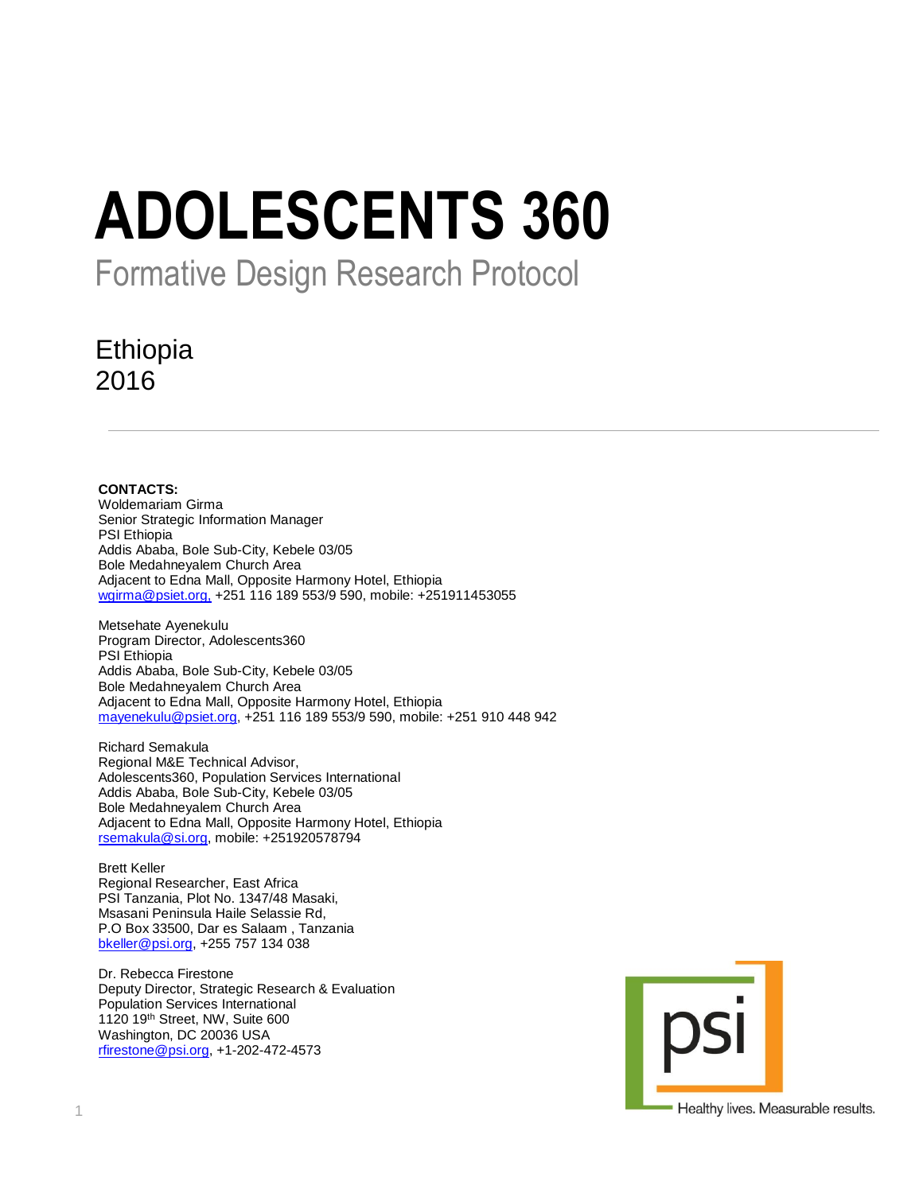# **ADOLESCENTS 360**

Formative Design Research Protocol

# Ethiopia 2016

**CONTACTS:** Woldemariam Girma Senior Strategic Information Manager PSI Ethiopia Addis Ababa, Bole Sub-City, Kebele 03/05 Bole Medahneyalem Church Area Adjacent to Edna Mall, Opposite Harmony Hotel, Ethiopia [wgirma@psiet.org,](mailto:wgirma@psiet.org,) +251 116 189 553/9 590, mobile: +251911453055

Metsehate Ayenekulu Program Director, Adolescents360 PSI Ethiopia Addis Ababa, Bole Sub-City, Kebele 03/05 Bole Medahneyalem Church Area Adjacent to Edna Mall, Opposite Harmony Hotel, Ethiopia [mayenekulu@psiet.org,](mailto:mayenekulu@psiet.org) +251 116 189 553/9 590, mobile: +251 910 448 942

Richard Semakula Regional M&E Technical Advisor, Adolescents360, Population Services International Addis Ababa, Bole Sub-City, Kebele 03/05 Bole Medahneyalem Church Area Adjacent to Edna Mall, Opposite Harmony Hotel, Ethiopia [rsemakula@si.org,](mailto:rsemakula@si.org) mobile: +251920578794

Brett Keller Regional Researcher, East Africa PSI Tanzania, Plot No. 1347/48 Masaki, Msasani Peninsula Haile Selassie Rd, P.O Box 33500, Dar es Salaam , Tanzania [bkeller@psi.org,](mailto:bkeller@psi.org) +255 757 134 038

Dr. Rebecca Firestone Deputy Director, Strategic Research & Evaluation Population Services International 1120 19th Street, NW, Suite 600 Washington, DC 20036 USA [rfirestone@psi.org,](mailto:rfirestone@psi.org) +1-202-472-4573



Healthy lives. Measurable results.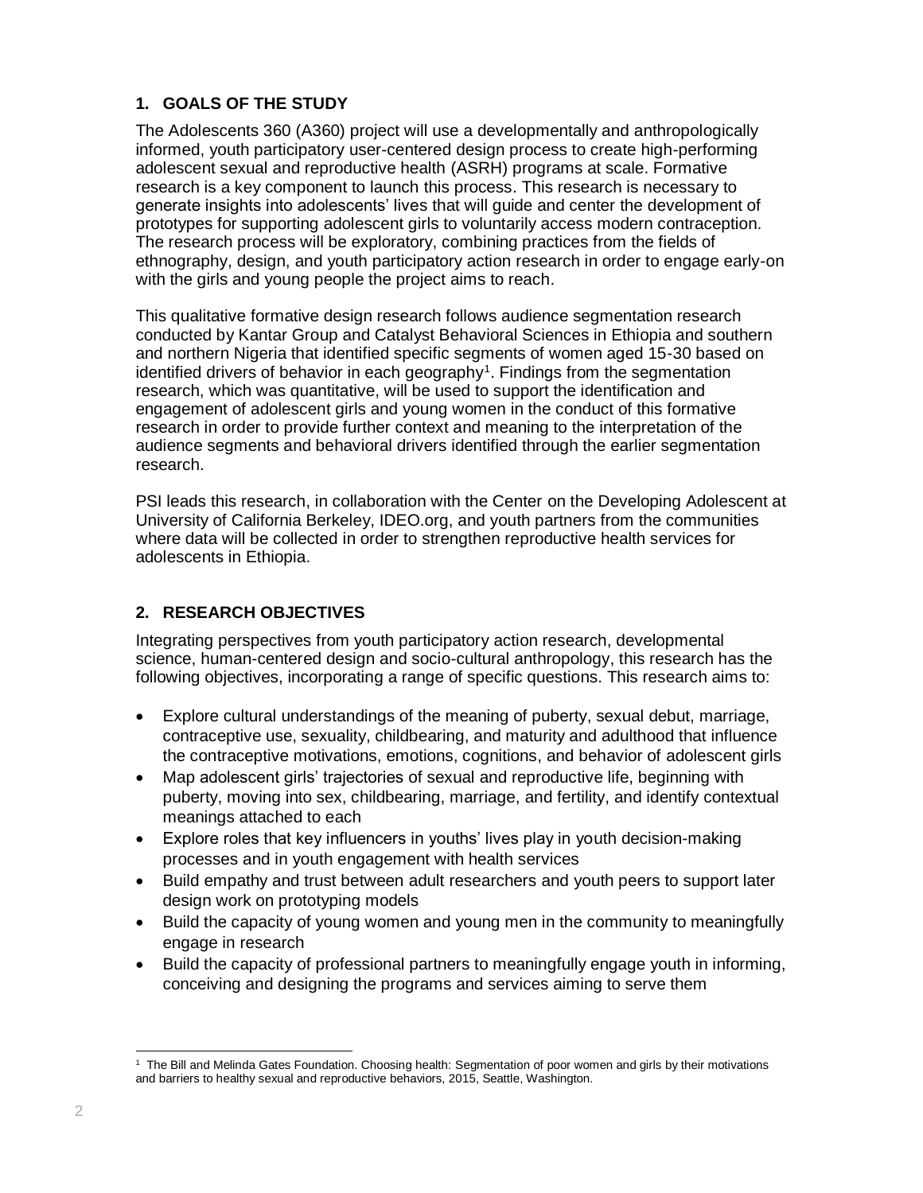# **1. GOALS OF THE STUDY**

The Adolescents 360 (A360) project will use a developmentally and anthropologically informed, youth participatory user-centered design process to create high-performing adolescent sexual and reproductive health (ASRH) programs at scale. Formative research is a key component to launch this process. This research is necessary to generate insights into adolescents' lives that will guide and center the development of prototypes for supporting adolescent girls to voluntarily access modern contraception. The research process will be exploratory, combining practices from the fields of ethnography, design, and youth participatory action research in order to engage early-on with the girls and young people the project aims to reach.

This qualitative formative design research follows audience segmentation research conducted by Kantar Group and Catalyst Behavioral Sciences in Ethiopia and southern and northern Nigeria that identified specific segments of women aged 15-30 based on identified drivers of behavior in each geography<sup>1</sup>. Findings from the segmentation research, which was quantitative, will be used to support the identification and engagement of adolescent girls and young women in the conduct of this formative research in order to provide further context and meaning to the interpretation of the audience segments and behavioral drivers identified through the earlier segmentation research.

PSI leads this research, in collaboration with the Center on the Developing Adolescent at University of California Berkeley, IDEO.org, and youth partners from the communities where data will be collected in order to strengthen reproductive health services for adolescents in Ethiopia.

# **2. RESEARCH OBJECTIVES**

Integrating perspectives from youth participatory action research, developmental science, human-centered design and socio-cultural anthropology, this research has the following objectives, incorporating a range of specific questions. This research aims to:

- Explore cultural understandings of the meaning of puberty, sexual debut, marriage, contraceptive use, sexuality, childbearing, and maturity and adulthood that influence the contraceptive motivations, emotions, cognitions, and behavior of adolescent girls
- Map adolescent girls' trajectories of sexual and reproductive life, beginning with puberty, moving into sex, childbearing, marriage, and fertility, and identify contextual meanings attached to each
- Explore roles that key influencers in youths' lives play in youth decision-making processes and in youth engagement with health services
- Build empathy and trust between adult researchers and youth peers to support later design work on prototyping models
- Build the capacity of young women and young men in the community to meaningfully engage in research
- Build the capacity of professional partners to meaningfully engage youth in informing, conceiving and designing the programs and services aiming to serve them

 $\overline{a}$ 1 The Bill and Melinda Gates Foundation. Choosing health: Segmentation of poor women and girls by their motivations and barriers to healthy sexual and reproductive behaviors, 2015, Seattle, Washington.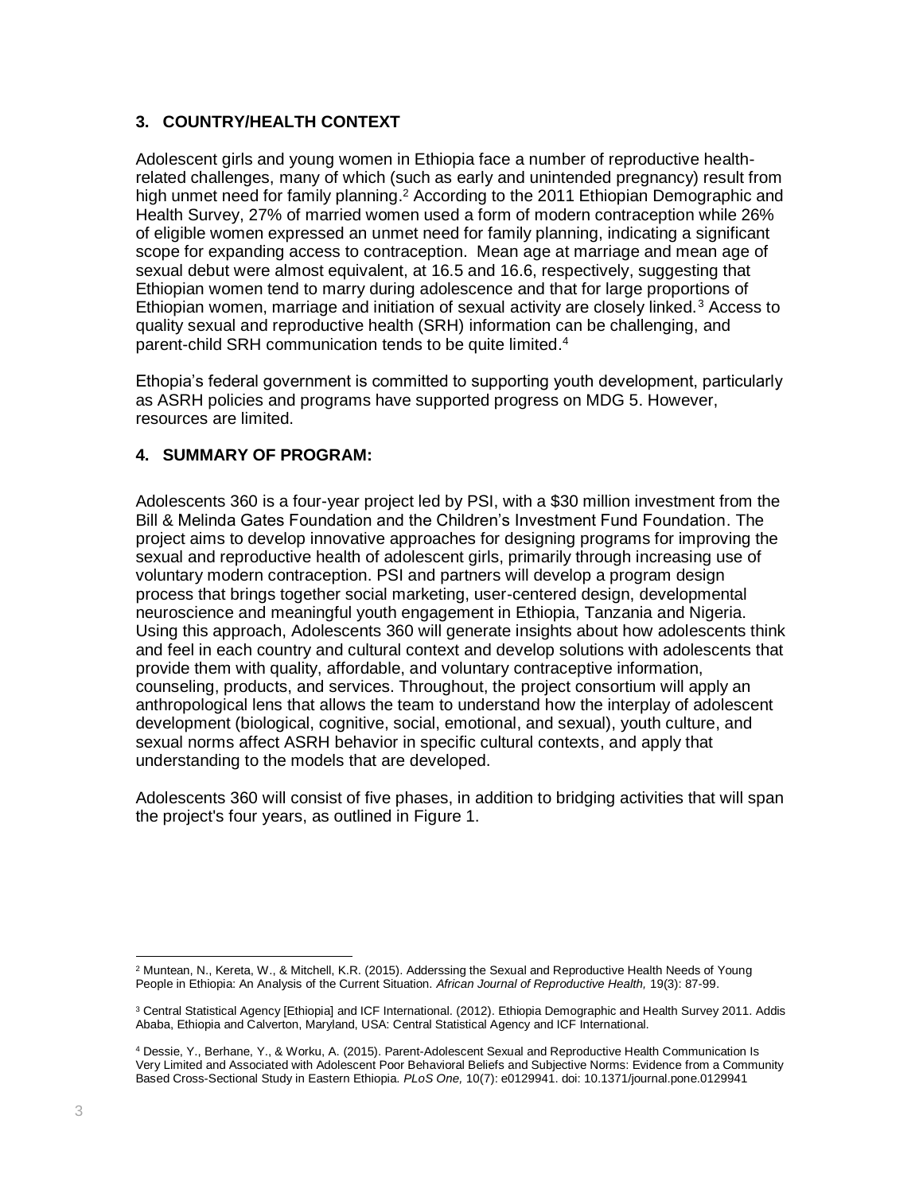# **3. COUNTRY/HEALTH CONTEXT**

Adolescent girls and young women in Ethiopia face a number of reproductive healthrelated challenges, many of which (such as early and unintended pregnancy) result from high unmet need for family planning.<sup>2</sup> According to the 2011 Ethiopian Demographic and Health Survey, 27% of married women used a form of modern contraception while 26% of eligible women expressed an unmet need for family planning, indicating a significant scope for expanding access to contraception. Mean age at marriage and mean age of sexual debut were almost equivalent, at 16.5 and 16.6, respectively, suggesting that Ethiopian women tend to marry during adolescence and that for large proportions of Ethiopian women, marriage and initiation of sexual activity are closely linked.<sup>3</sup> Access to quality sexual and reproductive health (SRH) information can be challenging, and parent-child SRH communication tends to be quite limited. 4

Ethopia's federal government is committed to supporting youth development, particularly as ASRH policies and programs have supported progress on MDG 5. However, resources are limited.

# **4. SUMMARY OF PROGRAM:**

Adolescents 360 is a four-year project led by PSI, with a \$30 million investment from the Bill & Melinda Gates Foundation and the Children's Investment Fund Foundation. The project aims to develop innovative approaches for designing programs for improving the sexual and reproductive health of adolescent girls, primarily through increasing use of voluntary modern contraception. PSI and partners will develop a program design process that brings together social marketing, user-centered design, developmental neuroscience and meaningful youth engagement in Ethiopia, Tanzania and Nigeria. Using this approach, Adolescents 360 will generate insights about how adolescents think and feel in each country and cultural context and develop solutions with adolescents that provide them with quality, affordable, and voluntary contraceptive information, counseling, products, and services. Throughout, the project consortium will apply an anthropological lens that allows the team to understand how the interplay of adolescent development (biological, cognitive, social, emotional, and sexual), youth culture, and sexual norms affect ASRH behavior in specific cultural contexts, and apply that understanding to the models that are developed.

Adolescents 360 will consist of five phases, in addition to bridging activities that will span the project's four years, as outlined in Figure 1.

 $\overline{a}$ <sup>2</sup> Muntean, N., Kereta, W., & Mitchell, K.R. (2015). Adderssing the Sexual and Reproductive Health Needs of Young People in Ethiopia: An Analysis of the Current Situation. *African Journal of Reproductive Health,* 19(3): 87-99.

<sup>&</sup>lt;sup>3</sup> Central Statistical Agency [Ethiopia] and ICF International. (2012). Ethiopia Demographic and Health Survey 2011. Addis Ababa, Ethiopia and Calverton, Maryland, USA: Central Statistical Agency and ICF International.

<sup>4</sup> Dessie, Y., Berhane, Y., & Worku, A. (2015). Parent-Adolescent Sexual and Reproductive Health Communication Is Very Limited and Associated with Adolescent Poor Behavioral Beliefs and Subjective Norms: Evidence from a Community Based Cross-Sectional Study in Eastern Ethiopia. *PLoS One,* 10(7): e0129941. doi: 10.1371/journal.pone.0129941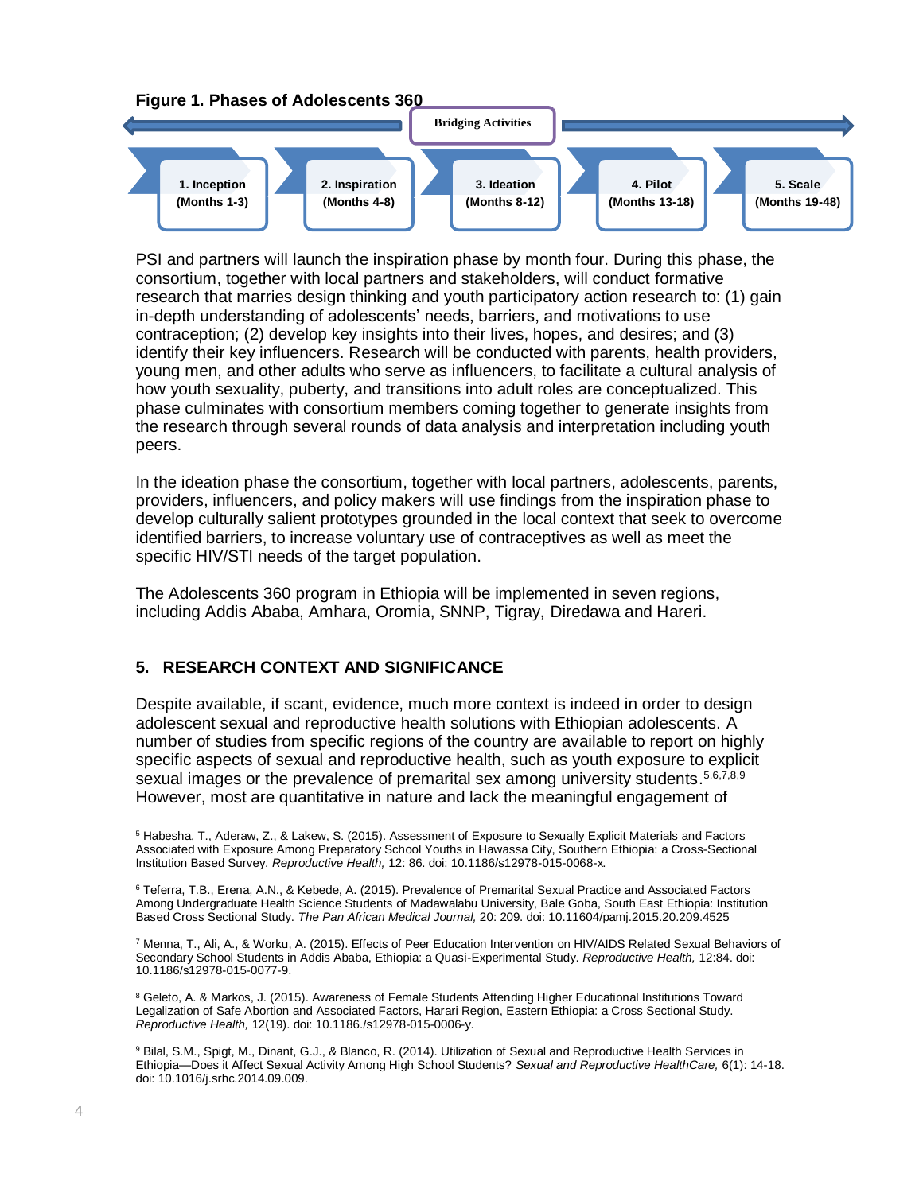

PSI and partners will launch the inspiration phase by month four. During this phase, the consortium, together with local partners and stakeholders, will conduct formative research that marries design thinking and youth participatory action research to: (1) gain in-depth understanding of adolescents' needs, barriers, and motivations to use contraception; (2) develop key insights into their lives, hopes, and desires; and (3) identify their key influencers. Research will be conducted with parents, health providers, young men, and other adults who serve as influencers, to facilitate a cultural analysis of how youth sexuality, puberty, and transitions into adult roles are conceptualized. This phase culminates with consortium members coming together to generate insights from the research through several rounds of data analysis and interpretation including youth peers.

In the ideation phase the consortium, together with local partners, adolescents, parents, providers, influencers, and policy makers will use findings from the inspiration phase to develop culturally salient prototypes grounded in the local context that seek to overcome identified barriers, to increase voluntary use of contraceptives as well as meet the specific HIV/STI needs of the target population.

The Adolescents 360 program in Ethiopia will be implemented in seven regions, including Addis Ababa, Amhara, Oromia, SNNP, Tigray, Diredawa and Hareri.

#### **5. RESEARCH CONTEXT AND SIGNIFICANCE**

Despite available, if scant, evidence, much more context is indeed in order to design adolescent sexual and reproductive health solutions with Ethiopian adolescents. A number of studies from specific regions of the country are available to report on highly specific aspects of sexual and reproductive health, such as youth exposure to explicit sexual images or the prevalence of premarital sex among university students. 5,6,7,8,9 However, most are quantitative in nature and lack the meaningful engagement of

<sup>8</sup> Geleto, A. & Markos, J. (2015). Awareness of Female Students Attending Higher Educational Institutions Toward Legalization of Safe Abortion and Associated Factors, Harari Region, Eastern Ethiopia: a Cross Sectional Study. *Reproductive Health,* 12(19). doi: 10.1186./s12978-015-0006-y.

 $\overline{a}$ <sup>5</sup> Habesha, T., Aderaw, Z., & Lakew, S. (2015). Assessment of Exposure to Sexually Explicit Materials and Factors Associated with Exposure Among Preparatory School Youths in Hawassa City, Southern Ethiopia: a Cross-Sectional Institution Based Survey. *Reproductive Health,* 12: 86. doi: 10.1186/s12978-015-0068-x.

<sup>6</sup> Teferra, T.B., Erena, A.N., & Kebede, A. (2015). Prevalence of Premarital Sexual Practice and Associated Factors Among Undergraduate Health Science Students of Madawalabu University, Bale Goba, South East Ethiopia: Institution Based Cross Sectional Study. *The Pan African Medical Journal,* 20: 209. doi: 10.11604/pamj.2015.20.209.4525

<sup>7</sup> Menna, T., Ali, A., & Worku, A. (2015). Effects of Peer Education Intervention on HIV/AIDS Related Sexual Behaviors of Secondary School Students in Addis Ababa, Ethiopia: a Quasi-Experimental Study. *Reproductive Health,* 12:84. doi: 10.1186/s12978-015-0077-9.

<sup>9</sup> Bilal, S.M., Spigt, M., Dinant, G.J., & Blanco, R. (2014). Utilization of Sexual and Reproductive Health Services in Ethiopia—Does it Affect Sexual Activity Among High School Students? *Sexual and Reproductive HealthCare,* 6(1): 14-18. doi: 10.1016/j.srhc.2014.09.009.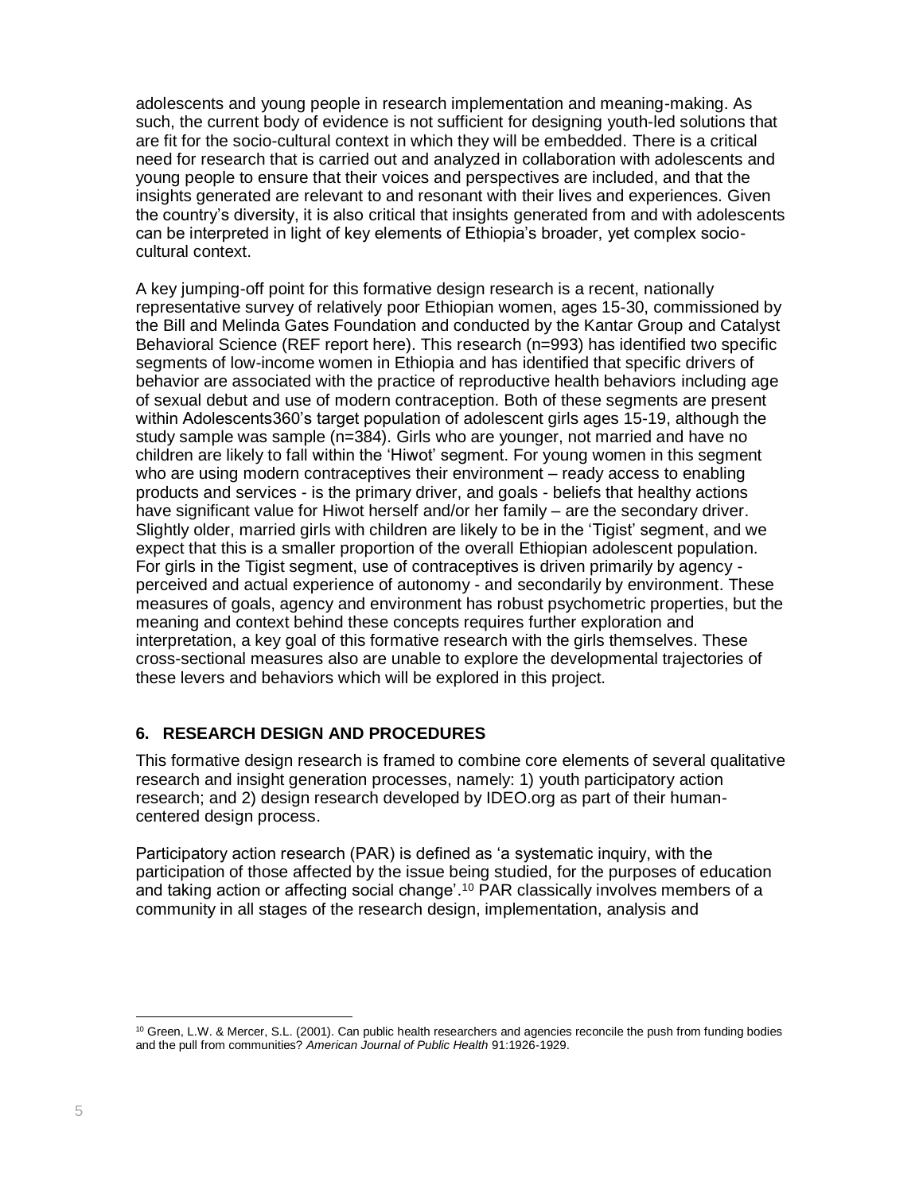adolescents and young people in research implementation and meaning-making. As such, the current body of evidence is not sufficient for designing youth-led solutions that are fit for the socio-cultural context in which they will be embedded. There is a critical need for research that is carried out and analyzed in collaboration with adolescents and young people to ensure that their voices and perspectives are included, and that the insights generated are relevant to and resonant with their lives and experiences. Given the country's diversity, it is also critical that insights generated from and with adolescents can be interpreted in light of key elements of Ethiopia's broader, yet complex sociocultural context.

A key jumping-off point for this formative design research is a recent, nationally representative survey of relatively poor Ethiopian women, ages 15-30, commissioned by the Bill and Melinda Gates Foundation and conducted by the Kantar Group and Catalyst Behavioral Science (REF report here). This research (n=993) has identified two specific segments of low-income women in Ethiopia and has identified that specific drivers of behavior are associated with the practice of reproductive health behaviors including age of sexual debut and use of modern contraception. Both of these segments are present within Adolescents360's target population of adolescent girls ages 15-19, although the study sample was sample (n=384). Girls who are younger, not married and have no children are likely to fall within the 'Hiwot' segment. For young women in this segment who are using modern contraceptives their environment – ready access to enabling products and services - is the primary driver, and goals - beliefs that healthy actions have significant value for Hiwot herself and/or her family – are the secondary driver. Slightly older, married girls with children are likely to be in the 'Tigist' segment, and we expect that this is a smaller proportion of the overall Ethiopian adolescent population. For girls in the Tigist segment, use of contraceptives is driven primarily by agency perceived and actual experience of autonomy - and secondarily by environment. These measures of goals, agency and environment has robust psychometric properties, but the meaning and context behind these concepts requires further exploration and interpretation, a key goal of this formative research with the girls themselves. These cross-sectional measures also are unable to explore the developmental trajectories of these levers and behaviors which will be explored in this project.

# **6. RESEARCH DESIGN AND PROCEDURES**

This formative design research is framed to combine core elements of several qualitative research and insight generation processes, namely: 1) youth participatory action research; and 2) design research developed by IDEO.org as part of their humancentered design process.

Participatory action research (PAR) is defined as 'a systematic inquiry, with the participation of those affected by the issue being studied, for the purposes of education and taking action or affecting social change'. <sup>10</sup> PAR classically involves members of a community in all stages of the research design, implementation, analysis and

 $\overline{a}$ <sup>10</sup> Green, L.W. & Mercer, S.L. (2001). Can public health researchers and agencies reconcile the push from funding bodies and the pull from communities? *American Journal of Public Health* 91:1926-1929.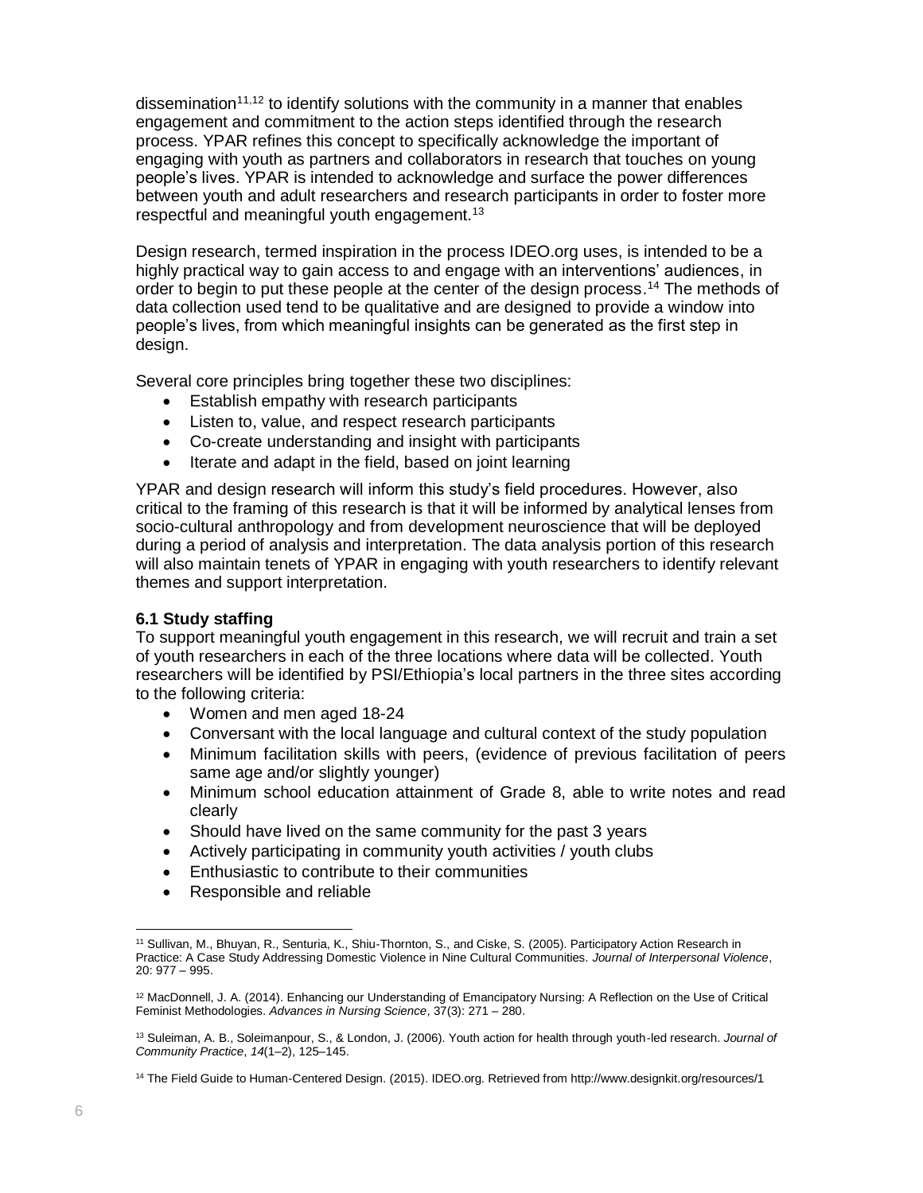dissemination<sup>11,12</sup> to identify solutions with the community in a manner that enables engagement and commitment to the action steps identified through the research process. YPAR refines this concept to specifically acknowledge the important of engaging with youth as partners and collaborators in research that touches on young people's lives. YPAR is intended to acknowledge and surface the power differences between youth and adult researchers and research participants in order to foster more respectful and meaningful youth engagement.<sup>13</sup>

Design research, termed inspiration in the process IDEO.org uses, is intended to be a highly practical way to gain access to and engage with an interventions' audiences, in order to begin to put these people at the center of the design process. <sup>14</sup> The methods of data collection used tend to be qualitative and are designed to provide a window into people's lives, from which meaningful insights can be generated as the first step in design.

Several core principles bring together these two disciplines:

- Establish empathy with research participants
- Listen to, value, and respect research participants
- Co-create understanding and insight with participants
- Iterate and adapt in the field, based on joint learning

YPAR and design research will inform this study's field procedures. However, also critical to the framing of this research is that it will be informed by analytical lenses from socio-cultural anthropology and from development neuroscience that will be deployed during a period of analysis and interpretation. The data analysis portion of this research will also maintain tenets of YPAR in engaging with youth researchers to identify relevant themes and support interpretation.

# **6.1 Study staffing**

To support meaningful youth engagement in this research, we will recruit and train a set of youth researchers in each of the three locations where data will be collected. Youth researchers will be identified by PSI/Ethiopia's local partners in the three sites according to the following criteria:

- Women and men aged 18-24
- Conversant with the local language and cultural context of the study population
- Minimum facilitation skills with peers, (evidence of previous facilitation of peers same age and/or slightly younger)
- Minimum school education attainment of Grade 8, able to write notes and read clearly
- Should have lived on the same community for the past 3 years
- Actively participating in community youth activities / youth clubs
- Enthusiastic to contribute to their communities
- Responsible and reliable

 $\overline{a}$ <sup>11</sup> Sullivan, M., Bhuyan, R., Senturia, K., Shiu-Thornton, S., and Ciske, S. (2005). Participatory Action Research in Practice: A Case Study Addressing Domestic Violence in Nine Cultural Communities. *Journal of Interpersonal Violence*, 20: 977 – 995.

<sup>&</sup>lt;sup>12</sup> MacDonnell, J. A. (2014). Enhancing our Understanding of Emancipatory Nursing: A Reflection on the Use of Critical Feminist Methodologies. *Advances in Nursing Science*, 37(3): 271 – 280.

<sup>13</sup> Suleiman, A. B., Soleimanpour, S., & London, J. (2006). Youth action for health through youth-led research. *Journal of Community Practice*, *14*(1–2), 125–145.

<sup>14</sup> The Field Guide to Human-Centered Design. (2015). IDEO.org. Retrieved from http://www.designkit.org/resources/1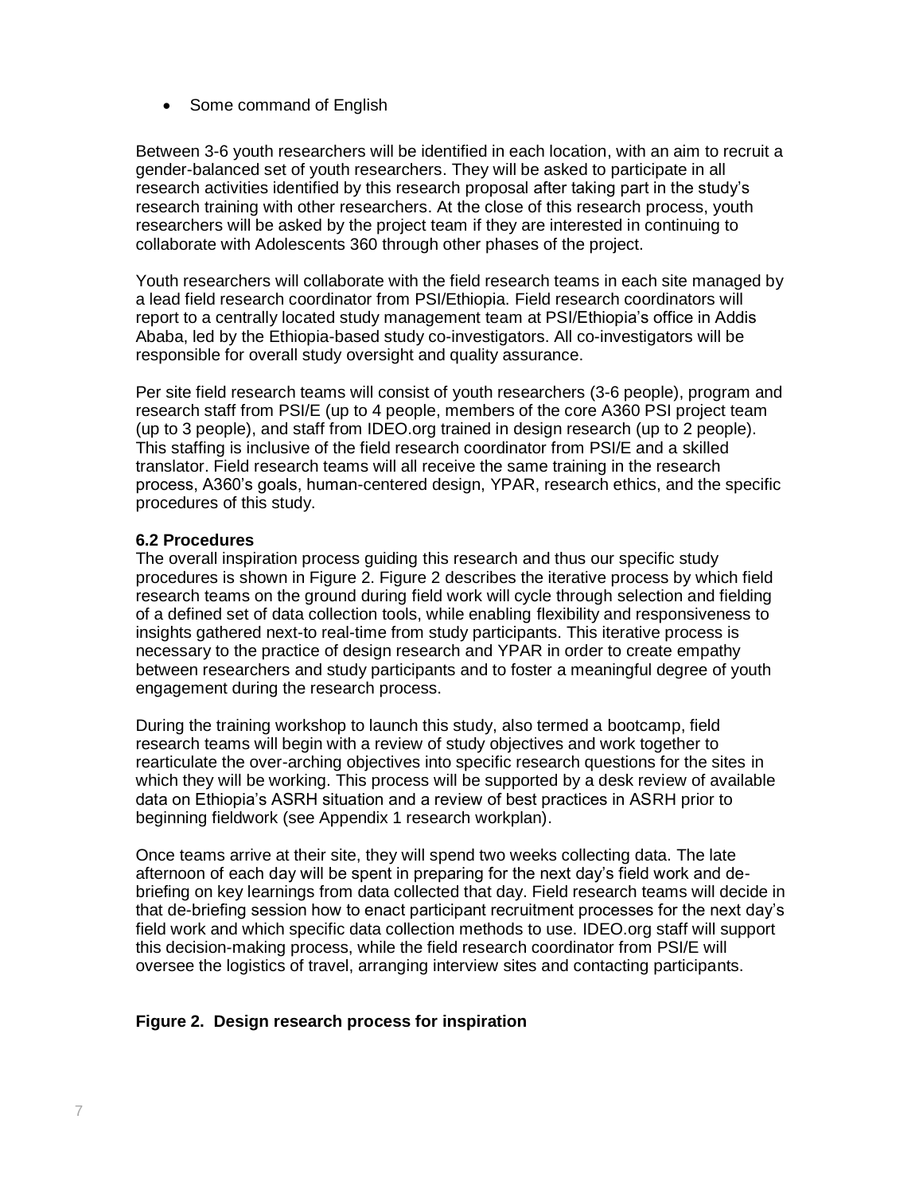• Some command of English

Between 3-6 youth researchers will be identified in each location, with an aim to recruit a gender-balanced set of youth researchers. They will be asked to participate in all research activities identified by this research proposal after taking part in the study's research training with other researchers. At the close of this research process, youth researchers will be asked by the project team if they are interested in continuing to collaborate with Adolescents 360 through other phases of the project.

Youth researchers will collaborate with the field research teams in each site managed by a lead field research coordinator from PSI/Ethiopia. Field research coordinators will report to a centrally located study management team at PSI/Ethiopia's office in Addis Ababa, led by the Ethiopia-based study co-investigators. All co-investigators will be responsible for overall study oversight and quality assurance.

Per site field research teams will consist of youth researchers (3-6 people), program and research staff from PSI/E (up to 4 people, members of the core A360 PSI project team (up to 3 people), and staff from IDEO.org trained in design research (up to 2 people). This staffing is inclusive of the field research coordinator from PSI/E and a skilled translator. Field research teams will all receive the same training in the research process, A360's goals, human-centered design, YPAR, research ethics, and the specific procedures of this study.

#### **6.2 Procedures**

The overall inspiration process guiding this research and thus our specific study procedures is shown in Figure 2. Figure 2 describes the iterative process by which field research teams on the ground during field work will cycle through selection and fielding of a defined set of data collection tools, while enabling flexibility and responsiveness to insights gathered next-to real-time from study participants. This iterative process is necessary to the practice of design research and YPAR in order to create empathy between researchers and study participants and to foster a meaningful degree of youth engagement during the research process.

During the training workshop to launch this study, also termed a bootcamp, field research teams will begin with a review of study objectives and work together to rearticulate the over-arching objectives into specific research questions for the sites in which they will be working. This process will be supported by a desk review of available data on Ethiopia's ASRH situation and a review of best practices in ASRH prior to beginning fieldwork (see Appendix 1 research workplan).

Once teams arrive at their site, they will spend two weeks collecting data. The late afternoon of each day will be spent in preparing for the next day's field work and debriefing on key learnings from data collected that day. Field research teams will decide in that de-briefing session how to enact participant recruitment processes for the next day's field work and which specific data collection methods to use. IDEO.org staff will support this decision-making process, while the field research coordinator from PSI/E will oversee the logistics of travel, arranging interview sites and contacting participants.

# **Figure 2. Design research process for inspiration**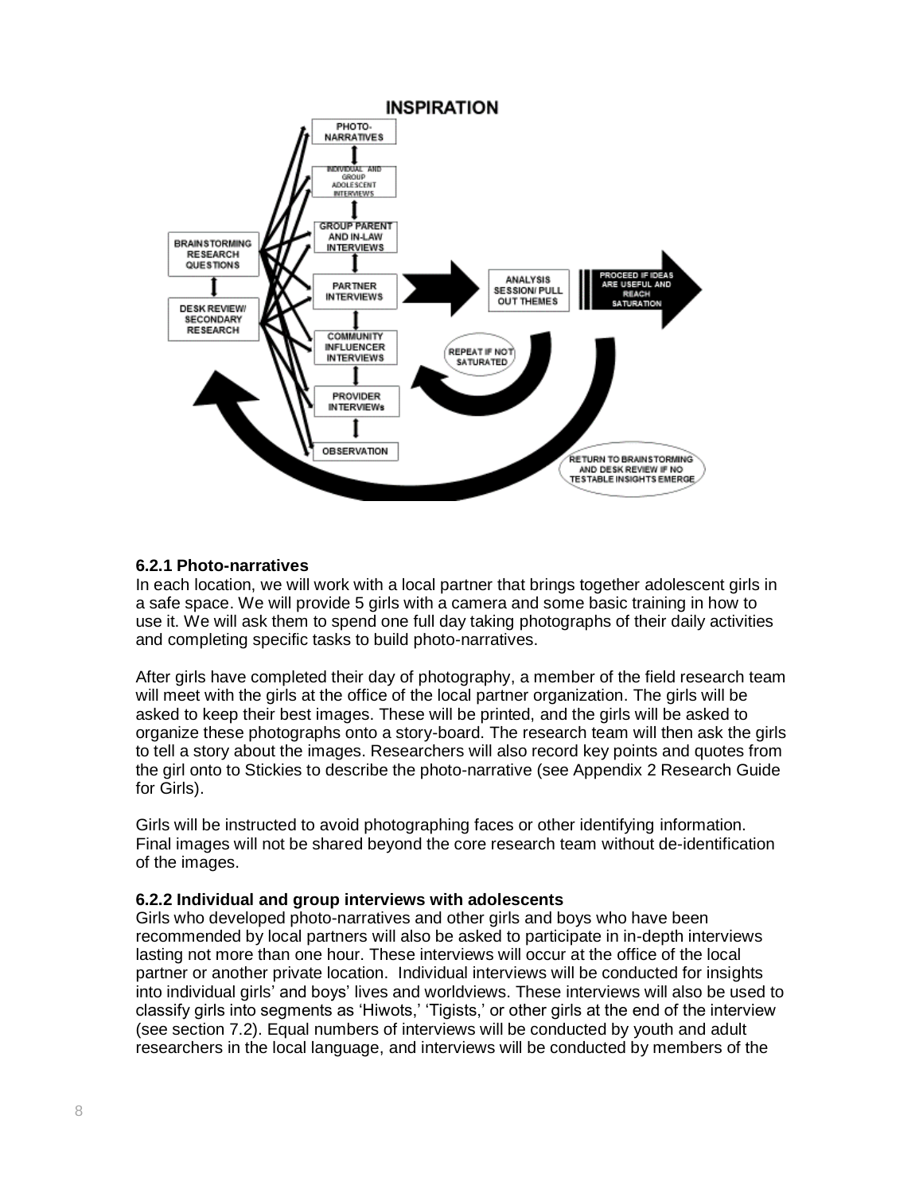

# **6.2.1 Photo-narratives**

In each location, we will work with a local partner that brings together adolescent girls in a safe space. We will provide 5 girls with a camera and some basic training in how to use it. We will ask them to spend one full day taking photographs of their daily activities and completing specific tasks to build photo-narratives.

After girls have completed their day of photography, a member of the field research team will meet with the girls at the office of the local partner organization. The girls will be asked to keep their best images. These will be printed, and the girls will be asked to organize these photographs onto a story-board. The research team will then ask the girls to tell a story about the images. Researchers will also record key points and quotes from the girl onto to Stickies to describe the photo-narrative (see Appendix 2 Research Guide for Girls).

Girls will be instructed to avoid photographing faces or other identifying information. Final images will not be shared beyond the core research team without de-identification of the images.

# **6.2.2 Individual and group interviews with adolescents**

Girls who developed photo-narratives and other girls and boys who have been recommended by local partners will also be asked to participate in in-depth interviews lasting not more than one hour. These interviews will occur at the office of the local partner or another private location. Individual interviews will be conducted for insights into individual girls' and boys' lives and worldviews. These interviews will also be used to classify girls into segments as 'Hiwots,' 'Tigists,' or other girls at the end of the interview (see section 7.2). Equal numbers of interviews will be conducted by youth and adult researchers in the local language, and interviews will be conducted by members of the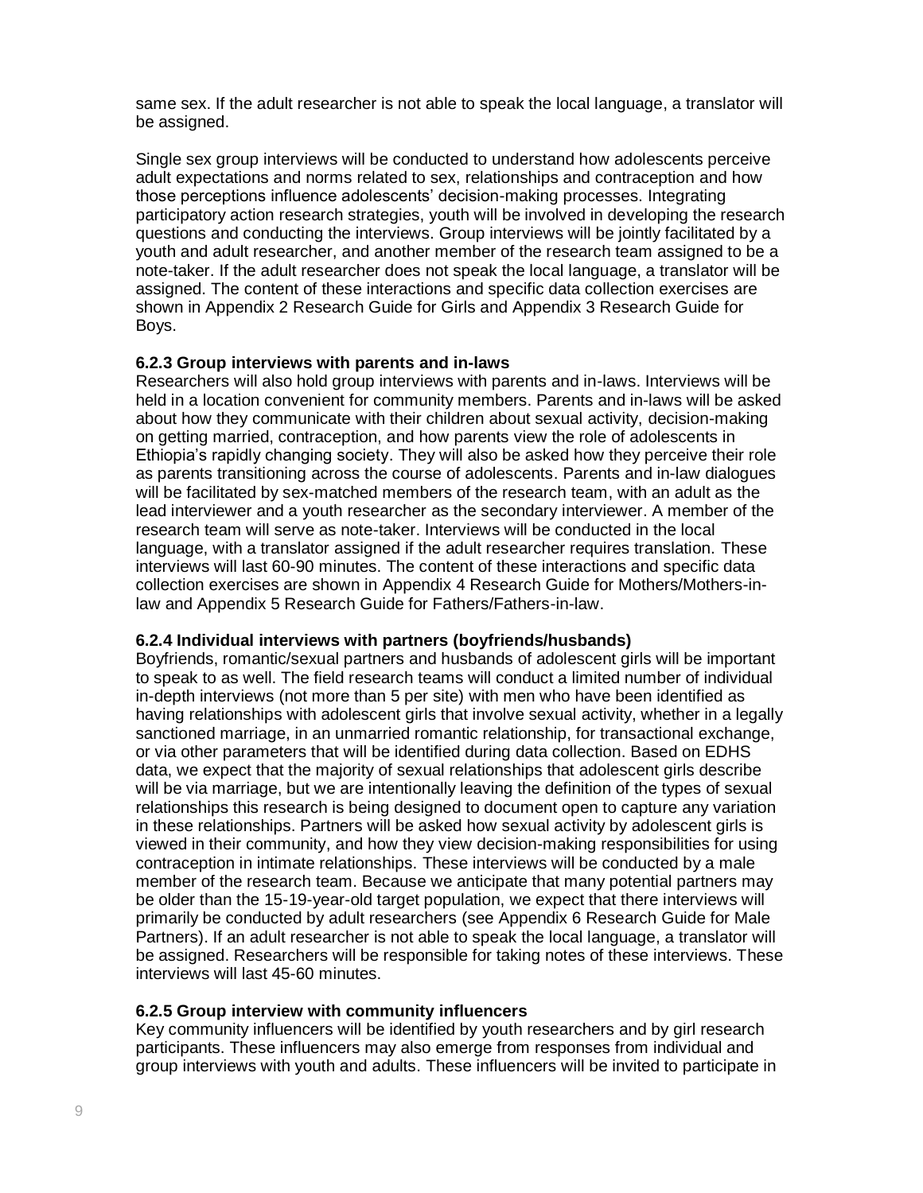same sex. If the adult researcher is not able to speak the local language, a translator will be assigned.

Single sex group interviews will be conducted to understand how adolescents perceive adult expectations and norms related to sex, relationships and contraception and how those perceptions influence adolescents' decision-making processes. Integrating participatory action research strategies, youth will be involved in developing the research questions and conducting the interviews. Group interviews will be jointly facilitated by a youth and adult researcher, and another member of the research team assigned to be a note-taker. If the adult researcher does not speak the local language, a translator will be assigned. The content of these interactions and specific data collection exercises are shown in Appendix 2 Research Guide for Girls and Appendix 3 Research Guide for Boys.

#### **6.2.3 Group interviews with parents and in-laws**

Researchers will also hold group interviews with parents and in-laws. Interviews will be held in a location convenient for community members. Parents and in-laws will be asked about how they communicate with their children about sexual activity, decision-making on getting married, contraception, and how parents view the role of adolescents in Ethiopia's rapidly changing society. They will also be asked how they perceive their role as parents transitioning across the course of adolescents. Parents and in-law dialogues will be facilitated by sex-matched members of the research team, with an adult as the lead interviewer and a youth researcher as the secondary interviewer. A member of the research team will serve as note-taker. Interviews will be conducted in the local language, with a translator assigned if the adult researcher requires translation. These interviews will last 60-90 minutes. The content of these interactions and specific data collection exercises are shown in Appendix 4 Research Guide for Mothers/Mothers-inlaw and Appendix 5 Research Guide for Fathers/Fathers-in-law.

#### **6.2.4 Individual interviews with partners (boyfriends/husbands)**

Boyfriends, romantic/sexual partners and husbands of adolescent girls will be important to speak to as well. The field research teams will conduct a limited number of individual in-depth interviews (not more than 5 per site) with men who have been identified as having relationships with adolescent girls that involve sexual activity, whether in a legally sanctioned marriage, in an unmarried romantic relationship, for transactional exchange, or via other parameters that will be identified during data collection. Based on EDHS data, we expect that the majority of sexual relationships that adolescent girls describe will be via marriage, but we are intentionally leaving the definition of the types of sexual relationships this research is being designed to document open to capture any variation in these relationships. Partners will be asked how sexual activity by adolescent girls is viewed in their community, and how they view decision-making responsibilities for using contraception in intimate relationships. These interviews will be conducted by a male member of the research team. Because we anticipate that many potential partners may be older than the 15-19-year-old target population, we expect that there interviews will primarily be conducted by adult researchers (see Appendix 6 Research Guide for Male Partners). If an adult researcher is not able to speak the local language, a translator will be assigned. Researchers will be responsible for taking notes of these interviews. These interviews will last 45-60 minutes.

# **6.2.5 Group interview with community influencers**

Key community influencers will be identified by youth researchers and by girl research participants. These influencers may also emerge from responses from individual and group interviews with youth and adults. These influencers will be invited to participate in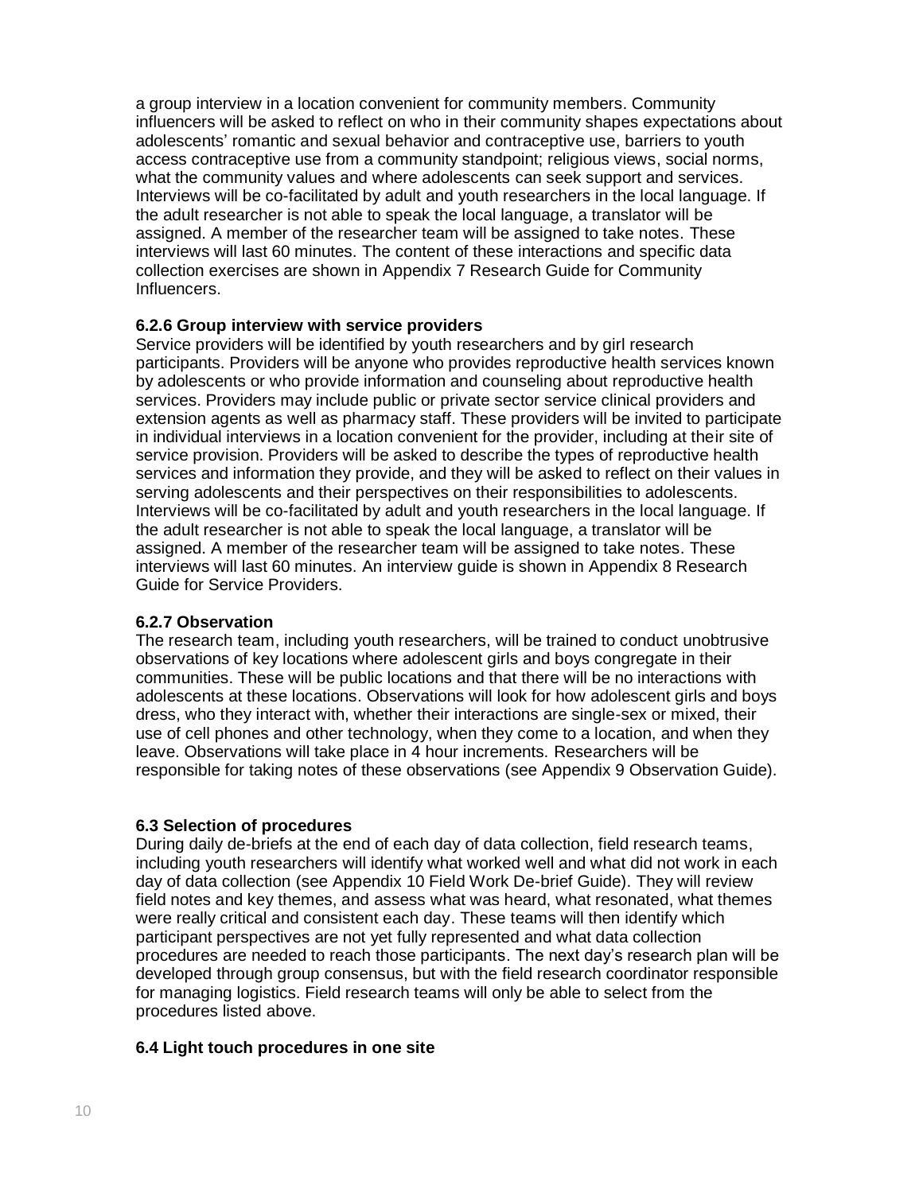a group interview in a location convenient for community members. Community influencers will be asked to reflect on who in their community shapes expectations about adolescents' romantic and sexual behavior and contraceptive use, barriers to youth access contraceptive use from a community standpoint; religious views, social norms, what the community values and where adolescents can seek support and services. Interviews will be co-facilitated by adult and youth researchers in the local language. If the adult researcher is not able to speak the local language, a translator will be assigned. A member of the researcher team will be assigned to take notes. These interviews will last 60 minutes. The content of these interactions and specific data collection exercises are shown in Appendix 7 Research Guide for Community Influencers.

# **6.2.6 Group interview with service providers**

Service providers will be identified by youth researchers and by girl research participants. Providers will be anyone who provides reproductive health services known by adolescents or who provide information and counseling about reproductive health services. Providers may include public or private sector service clinical providers and extension agents as well as pharmacy staff. These providers will be invited to participate in individual interviews in a location convenient for the provider, including at their site of service provision. Providers will be asked to describe the types of reproductive health services and information they provide, and they will be asked to reflect on their values in serving adolescents and their perspectives on their responsibilities to adolescents. Interviews will be co-facilitated by adult and youth researchers in the local language. If the adult researcher is not able to speak the local language, a translator will be assigned. A member of the researcher team will be assigned to take notes. These interviews will last 60 minutes. An interview guide is shown in Appendix 8 Research Guide for Service Providers.

# **6.2.7 Observation**

The research team, including youth researchers, will be trained to conduct unobtrusive observations of key locations where adolescent girls and boys congregate in their communities. These will be public locations and that there will be no interactions with adolescents at these locations. Observations will look for how adolescent girls and boys dress, who they interact with, whether their interactions are single-sex or mixed, their use of cell phones and other technology, when they come to a location, and when they leave. Observations will take place in 4 hour increments. Researchers will be responsible for taking notes of these observations (see Appendix 9 Observation Guide).

# **6.3 Selection of procedures**

During daily de-briefs at the end of each day of data collection, field research teams, including youth researchers will identify what worked well and what did not work in each day of data collection (see Appendix 10 Field Work De-brief Guide). They will review field notes and key themes, and assess what was heard, what resonated, what themes were really critical and consistent each day. These teams will then identify which participant perspectives are not yet fully represented and what data collection procedures are needed to reach those participants. The next day's research plan will be developed through group consensus, but with the field research coordinator responsible for managing logistics. Field research teams will only be able to select from the procedures listed above.

#### **6.4 Light touch procedures in one site**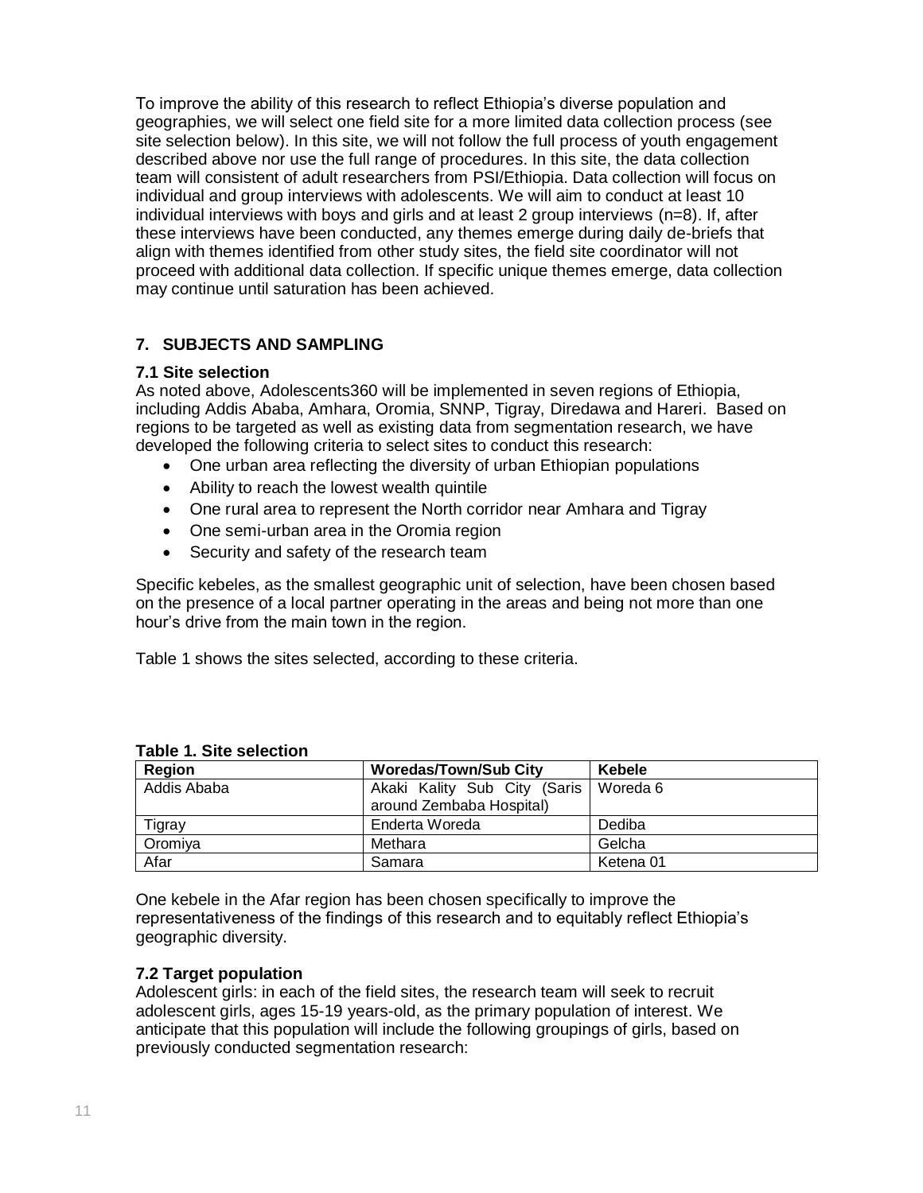To improve the ability of this research to reflect Ethiopia's diverse population and geographies, we will select one field site for a more limited data collection process (see site selection below). In this site, we will not follow the full process of youth engagement described above nor use the full range of procedures. In this site, the data collection team will consistent of adult researchers from PSI/Ethiopia. Data collection will focus on individual and group interviews with adolescents. We will aim to conduct at least 10 individual interviews with boys and girls and at least 2 group interviews (n=8). If, after these interviews have been conducted, any themes emerge during daily de-briefs that align with themes identified from other study sites, the field site coordinator will not proceed with additional data collection. If specific unique themes emerge, data collection may continue until saturation has been achieved.

# **7. SUBJECTS AND SAMPLING**

#### **7.1 Site selection**

As noted above, Adolescents360 will be implemented in seven regions of Ethiopia, including Addis Ababa, Amhara, Oromia, SNNP, Tigray, Diredawa and Hareri. Based on regions to be targeted as well as existing data from segmentation research, we have developed the following criteria to select sites to conduct this research:

- One urban area reflecting the diversity of urban Ethiopian populations
- Ability to reach the lowest wealth quintile
- One rural area to represent the North corridor near Amhara and Tigray
- One semi-urban area in the Oromia region
- Security and safety of the research team

Specific kebeles, as the smallest geographic unit of selection, have been chosen based on the presence of a local partner operating in the areas and being not more than one hour's drive from the main town in the region.

Table 1 shows the sites selected, according to these criteria.

| <b>Region</b> | <b>Woredas/Town/Sub City</b>                             | Kebele    |
|---------------|----------------------------------------------------------|-----------|
| Addis Ababa   | Akaki Kality Sub City (Saris<br>around Zembaba Hospital) | Woreda 6  |
| Tigray        | Enderta Woreda                                           | Dediba    |
| Oromiya       | Methara                                                  | Gelcha    |
| Afar          | Samara                                                   | Ketena 01 |

#### **Table 1. Site selection**

One kebele in the Afar region has been chosen specifically to improve the representativeness of the findings of this research and to equitably reflect Ethiopia's geographic diversity.

#### **7.2 Target population**

Adolescent girls: in each of the field sites, the research team will seek to recruit adolescent girls, ages 15-19 years-old, as the primary population of interest. We anticipate that this population will include the following groupings of girls, based on previously conducted segmentation research: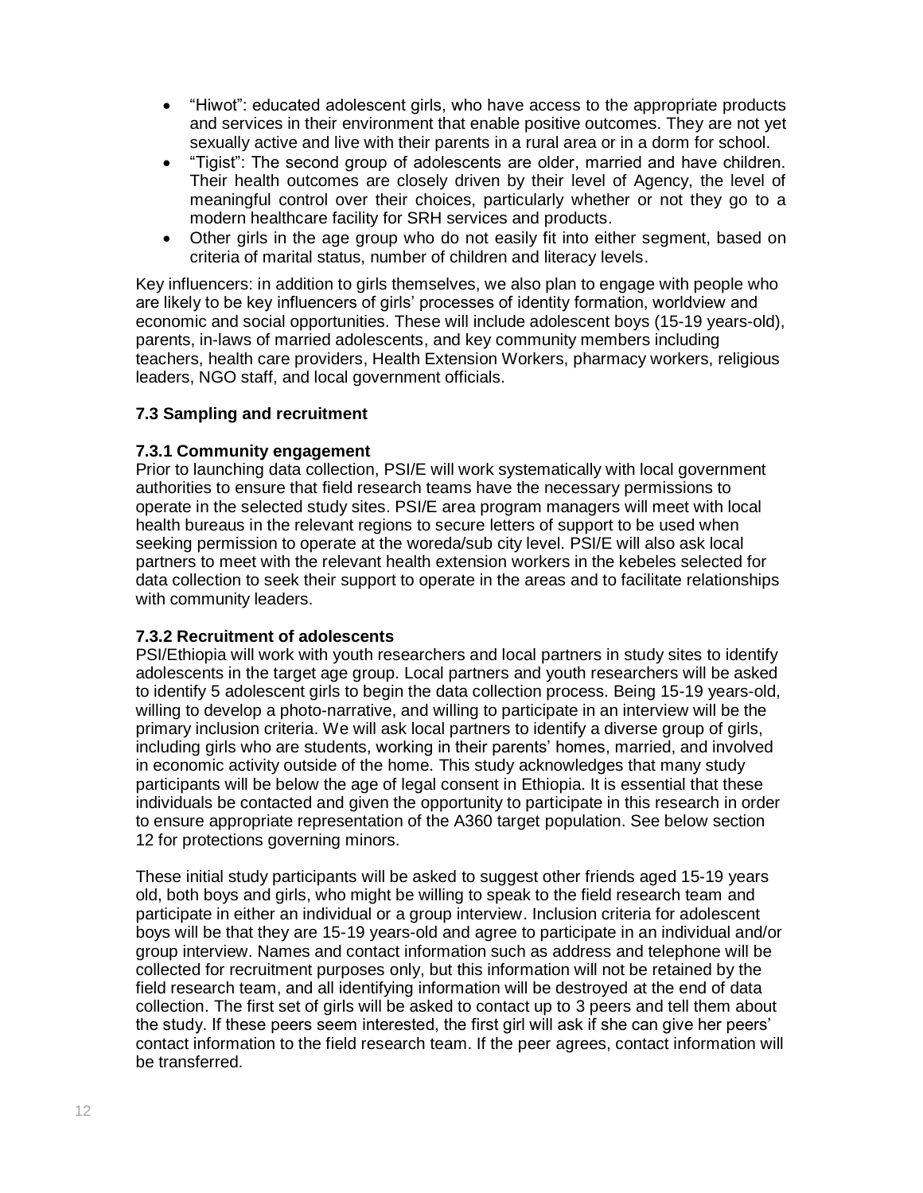- "Hiwot": educated adolescent girls, who have access to the appropriate products and services in their environment that enable positive outcomes. They are not yet sexually active and live with their parents in a rural area or in a dorm for school.
- "Tigist": The second group of adolescents are older, married and have children. Their health outcomes are closely driven by their level of Agency, the level of meaningful control over their choices, particularly whether or not they go to a modern healthcare facility for SRH services and products.
- Other girls in the age group who do not easily fit into either segment, based on criteria of marital status, number of children and literacy levels.

Key influencers: in addition to girls themselves, we also plan to engage with people who are likely to be key influencers of girls' processes of identity formation, worldview and economic and social opportunities. These will include adolescent boys (15-19 years-old), parents, in-laws of married adolescents, and key community members including teachers, health care providers, Health Extension Workers, pharmacy workers, religious leaders, NGO staff, and local government officials.

# **7.3 Sampling and recruitment**

#### **7.3.1 Community engagement**

Prior to launching data collection, PSI/E will work systematically with local government authorities to ensure that field research teams have the necessary permissions to operate in the selected study sites. PSI/E area program managers will meet with local health bureaus in the relevant regions to secure letters of support to be used when seeking permission to operate at the woreda/sub city level. PSI/E will also ask local partners to meet with the relevant health extension workers in the kebeles selected for data collection to seek their support to operate in the areas and to facilitate relationships with community leaders.

#### **7.3.2 Recruitment of adolescents**

PSI/Ethiopia will work with youth researchers and local partners in study sites to identify adolescents in the target age group. Local partners and youth researchers will be asked to identify 5 adolescent girls to begin the data collection process. Being 15-19 years-old, willing to develop a photo-narrative, and willing to participate in an interview will be the primary inclusion criteria. We will ask local partners to identify a diverse group of girls, including girls who are students, working in their parents' homes, married, and involved in economic activity outside of the home. This study acknowledges that many study participants will be below the age of legal consent in Ethiopia. It is essential that these individuals be contacted and given the opportunity to participate in this research in order to ensure appropriate representation of the A360 target population. See below section 12 for protections governing minors.

These initial study participants will be asked to suggest other friends aged 15-19 years old, both boys and girls, who might be willing to speak to the field research team and participate in either an individual or a group interview. Inclusion criteria for adolescent boys will be that they are 15-19 years-old and agree to participate in an individual and/or group interview. Names and contact information such as address and telephone will be collected for recruitment purposes only, but this information will not be retained by the field research team, and all identifying information will be destroyed at the end of data collection. The first set of girls will be asked to contact up to 3 peers and tell them about the study. If these peers seem interested, the first girl will ask if she can give her peers' contact information to the field research team. If the peer agrees, contact information will be transferred.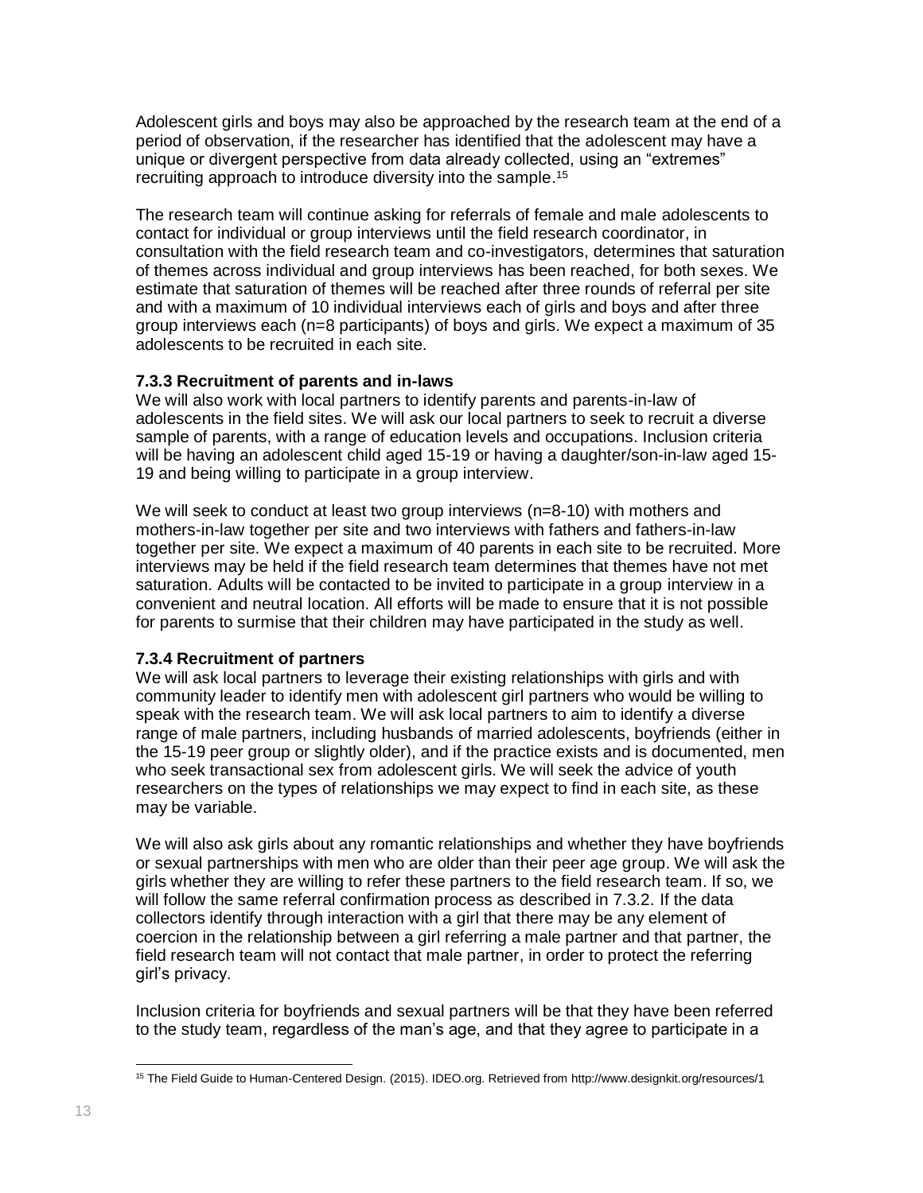Adolescent girls and boys may also be approached by the research team at the end of a period of observation, if the researcher has identified that the adolescent may have a unique or divergent perspective from data already collected, using an "extremes" recruiting approach to introduce diversity into the sample. 15

The research team will continue asking for referrals of female and male adolescents to contact for individual or group interviews until the field research coordinator, in consultation with the field research team and co-investigators, determines that saturation of themes across individual and group interviews has been reached, for both sexes. We estimate that saturation of themes will be reached after three rounds of referral per site and with a maximum of 10 individual interviews each of girls and boys and after three group interviews each (n=8 participants) of boys and girls. We expect a maximum of 35 adolescents to be recruited in each site.

#### **7.3.3 Recruitment of parents and in-laws**

We will also work with local partners to identify parents and parents-in-law of adolescents in the field sites. We will ask our local partners to seek to recruit a diverse sample of parents, with a range of education levels and occupations. Inclusion criteria will be having an adolescent child aged 15-19 or having a daughter/son-in-law aged 15- 19 and being willing to participate in a group interview.

We will seek to conduct at least two group interviews (n=8-10) with mothers and mothers-in-law together per site and two interviews with fathers and fathers-in-law together per site. We expect a maximum of 40 parents in each site to be recruited. More interviews may be held if the field research team determines that themes have not met saturation. Adults will be contacted to be invited to participate in a group interview in a convenient and neutral location. All efforts will be made to ensure that it is not possible for parents to surmise that their children may have participated in the study as well.

#### **7.3.4 Recruitment of partners**

We will ask local partners to leverage their existing relationships with girls and with community leader to identify men with adolescent girl partners who would be willing to speak with the research team. We will ask local partners to aim to identify a diverse range of male partners, including husbands of married adolescents, boyfriends (either in the 15-19 peer group or slightly older), and if the practice exists and is documented, men who seek transactional sex from adolescent girls. We will seek the advice of youth researchers on the types of relationships we may expect to find in each site, as these may be variable.

We will also ask girls about any romantic relationships and whether they have boyfriends or sexual partnerships with men who are older than their peer age group. We will ask the girls whether they are willing to refer these partners to the field research team. If so, we will follow the same referral confirmation process as described in 7.3.2. If the data collectors identify through interaction with a girl that there may be any element of coercion in the relationship between a girl referring a male partner and that partner, the field research team will not contact that male partner, in order to protect the referring girl's privacy.

Inclusion criteria for boyfriends and sexual partners will be that they have been referred to the study team, regardless of the man's age, and that they agree to participate in a

 $\overline{a}$ <sup>15</sup> The Field Guide to Human-Centered Design. (2015). IDEO.org. Retrieved from http://www.designkit.org/resources/1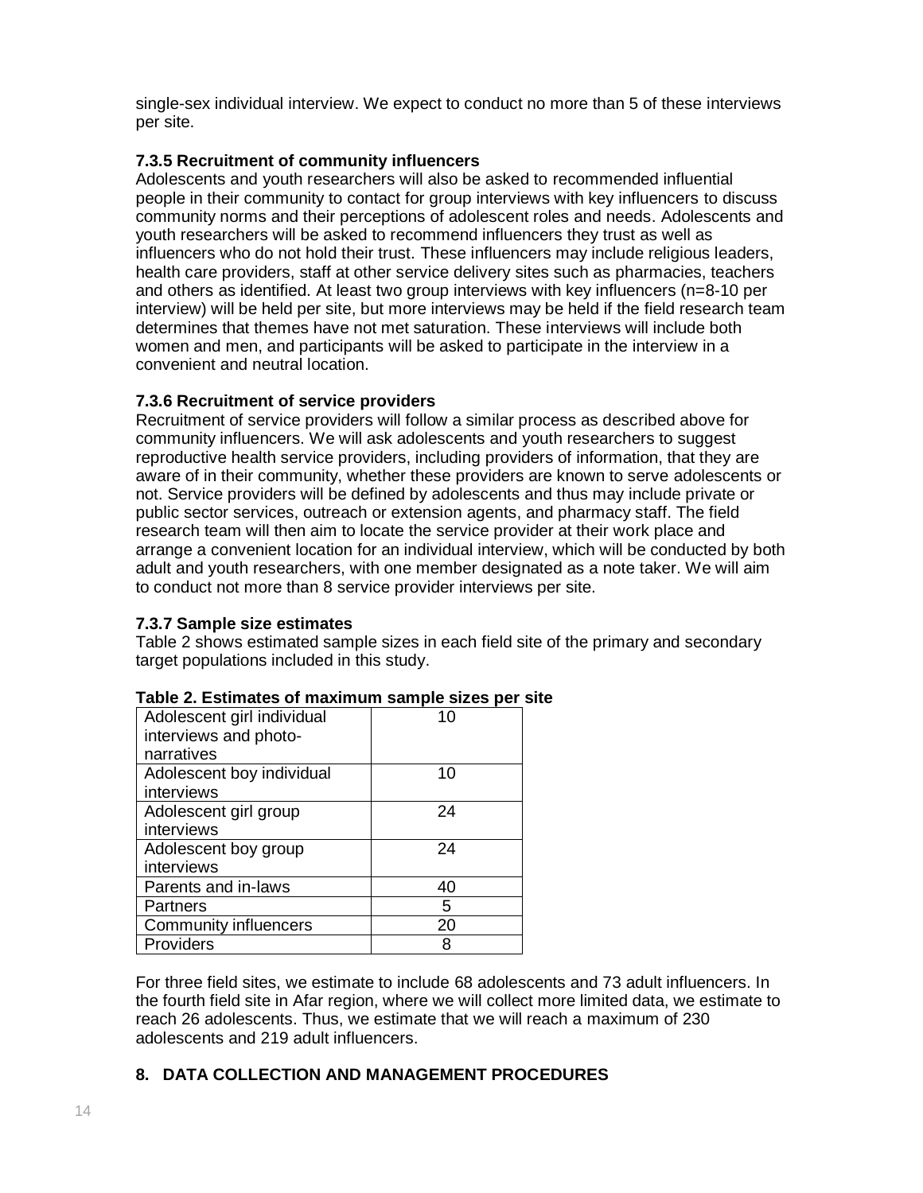single-sex individual interview. We expect to conduct no more than 5 of these interviews per site.

# **7.3.5 Recruitment of community influencers**

Adolescents and youth researchers will also be asked to recommended influential people in their community to contact for group interviews with key influencers to discuss community norms and their perceptions of adolescent roles and needs. Adolescents and youth researchers will be asked to recommend influencers they trust as well as influencers who do not hold their trust. These influencers may include religious leaders, health care providers, staff at other service delivery sites such as pharmacies, teachers and others as identified. At least two group interviews with key influencers (n=8-10 per interview) will be held per site, but more interviews may be held if the field research team determines that themes have not met saturation. These interviews will include both women and men, and participants will be asked to participate in the interview in a convenient and neutral location.

# **7.3.6 Recruitment of service providers**

Recruitment of service providers will follow a similar process as described above for community influencers. We will ask adolescents and youth researchers to suggest reproductive health service providers, including providers of information, that they are aware of in their community, whether these providers are known to serve adolescents or not. Service providers will be defined by adolescents and thus may include private or public sector services, outreach or extension agents, and pharmacy staff. The field research team will then aim to locate the service provider at their work place and arrange a convenient location for an individual interview, which will be conducted by both adult and youth researchers, with one member designated as a note taker. We will aim to conduct not more than 8 service provider interviews per site.

#### **7.3.7 Sample size estimates**

Table 2 shows estimated sample sizes in each field site of the primary and secondary target populations included in this study.

| Adolescent girl individual<br>interviews and photo- | 10 |
|-----------------------------------------------------|----|
| narratives                                          |    |
| Adolescent boy individual                           | 10 |
| interviews                                          |    |
| Adolescent girl group                               | 24 |
| interviews                                          |    |
| Adolescent boy group                                | 24 |
| interviews                                          |    |
| Parents and in-laws                                 | 40 |
| Partners                                            | 5  |
| <b>Community influencers</b>                        | 20 |
| Providers                                           | 8  |

#### **Table 2. Estimates of maximum sample sizes per site**

For three field sites, we estimate to include 68 adolescents and 73 adult influencers. In the fourth field site in Afar region, where we will collect more limited data, we estimate to reach 26 adolescents. Thus, we estimate that we will reach a maximum of 230 adolescents and 219 adult influencers.

# **8. DATA COLLECTION AND MANAGEMENT PROCEDURES**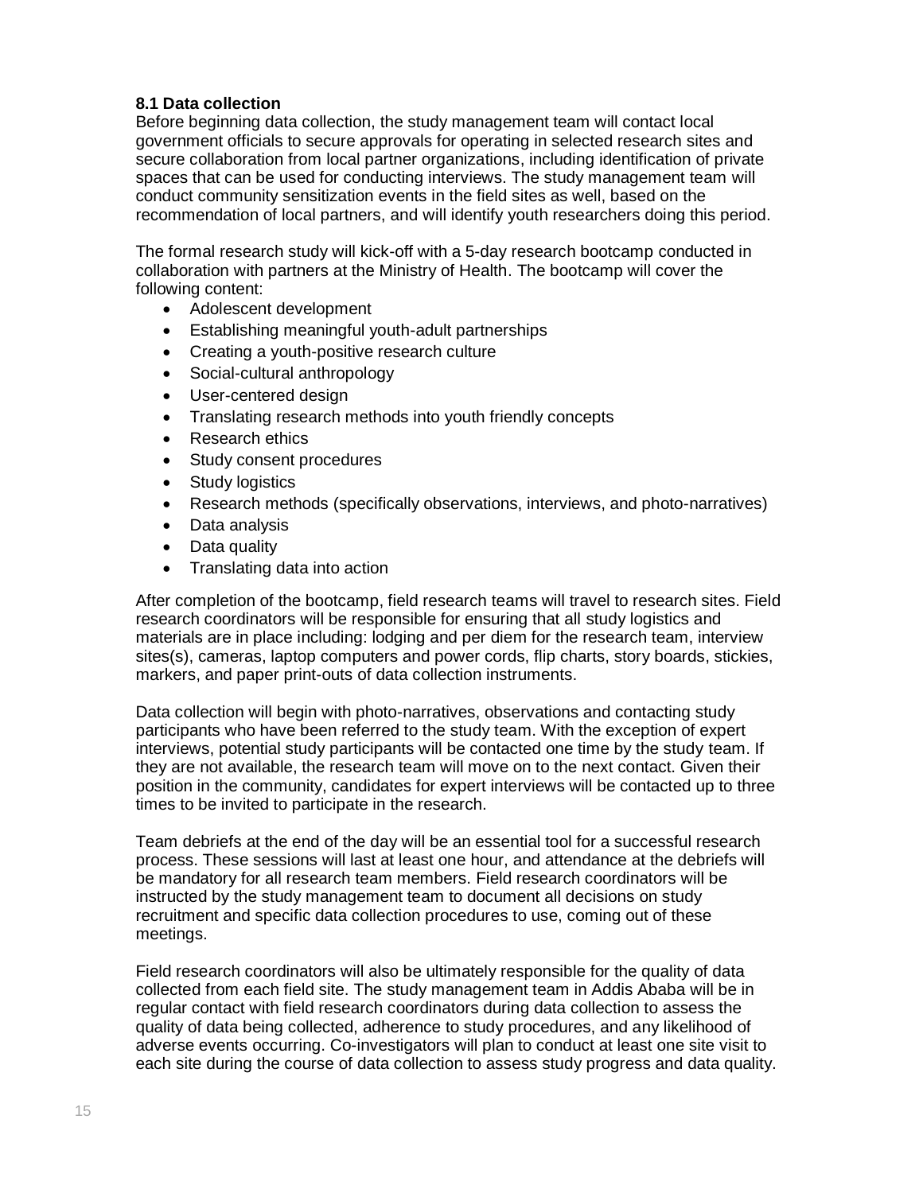# **8.1 Data collection**

Before beginning data collection, the study management team will contact local government officials to secure approvals for operating in selected research sites and secure collaboration from local partner organizations, including identification of private spaces that can be used for conducting interviews. The study management team will conduct community sensitization events in the field sites as well, based on the recommendation of local partners, and will identify youth researchers doing this period.

The formal research study will kick-off with a 5-day research bootcamp conducted in collaboration with partners at the Ministry of Health. The bootcamp will cover the following content:

- Adolescent development
- Establishing meaningful youth-adult partnerships
- Creating a youth-positive research culture
- Social-cultural anthropology
- User-centered design
- Translating research methods into youth friendly concepts
- Research ethics
- Study consent procedures
- Study logistics
- Research methods (specifically observations, interviews, and photo-narratives)
- Data analysis
- Data quality
- Translating data into action

After completion of the bootcamp, field research teams will travel to research sites. Field research coordinators will be responsible for ensuring that all study logistics and materials are in place including: lodging and per diem for the research team, interview sites(s), cameras, laptop computers and power cords, flip charts, story boards, stickies, markers, and paper print-outs of data collection instruments.

Data collection will begin with photo-narratives, observations and contacting study participants who have been referred to the study team. With the exception of expert interviews, potential study participants will be contacted one time by the study team. If they are not available, the research team will move on to the next contact. Given their position in the community, candidates for expert interviews will be contacted up to three times to be invited to participate in the research.

Team debriefs at the end of the day will be an essential tool for a successful research process. These sessions will last at least one hour, and attendance at the debriefs will be mandatory for all research team members. Field research coordinators will be instructed by the study management team to document all decisions on study recruitment and specific data collection procedures to use, coming out of these meetings.

Field research coordinators will also be ultimately responsible for the quality of data collected from each field site. The study management team in Addis Ababa will be in regular contact with field research coordinators during data collection to assess the quality of data being collected, adherence to study procedures, and any likelihood of adverse events occurring. Co-investigators will plan to conduct at least one site visit to each site during the course of data collection to assess study progress and data quality.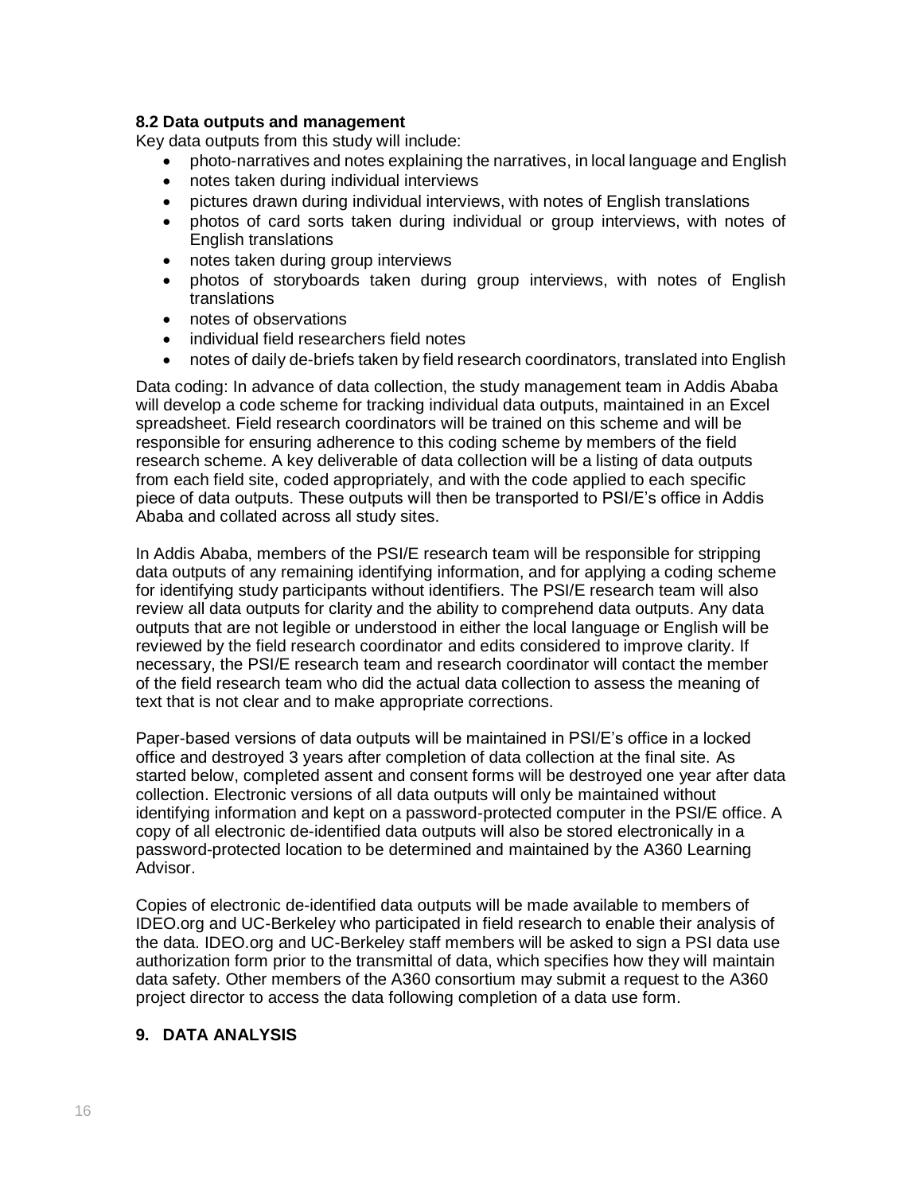#### **8.2 Data outputs and management**

Key data outputs from this study will include:

- photo-narratives and notes explaining the narratives, in local language and English
- notes taken during individual interviews
- pictures drawn during individual interviews, with notes of English translations
- photos of card sorts taken during individual or group interviews, with notes of English translations
- notes taken during group interviews
- photos of storyboards taken during group interviews, with notes of English translations
- notes of observations
- individual field researchers field notes
- notes of daily de-briefs taken by field research coordinators, translated into English

Data coding: In advance of data collection, the study management team in Addis Ababa will develop a code scheme for tracking individual data outputs, maintained in an Excel spreadsheet. Field research coordinators will be trained on this scheme and will be responsible for ensuring adherence to this coding scheme by members of the field research scheme. A key deliverable of data collection will be a listing of data outputs from each field site, coded appropriately, and with the code applied to each specific piece of data outputs. These outputs will then be transported to PSI/E's office in Addis Ababa and collated across all study sites.

In Addis Ababa, members of the PSI/E research team will be responsible for stripping data outputs of any remaining identifying information, and for applying a coding scheme for identifying study participants without identifiers. The PSI/E research team will also review all data outputs for clarity and the ability to comprehend data outputs. Any data outputs that are not legible or understood in either the local language or English will be reviewed by the field research coordinator and edits considered to improve clarity. If necessary, the PSI/E research team and research coordinator will contact the member of the field research team who did the actual data collection to assess the meaning of text that is not clear and to make appropriate corrections.

Paper-based versions of data outputs will be maintained in PSI/E's office in a locked office and destroyed 3 years after completion of data collection at the final site. As started below, completed assent and consent forms will be destroyed one year after data collection. Electronic versions of all data outputs will only be maintained without identifying information and kept on a password-protected computer in the PSI/E office. A copy of all electronic de-identified data outputs will also be stored electronically in a password-protected location to be determined and maintained by the A360 Learning Advisor.

Copies of electronic de-identified data outputs will be made available to members of IDEO.org and UC-Berkeley who participated in field research to enable their analysis of the data. IDEO.org and UC-Berkeley staff members will be asked to sign a PSI data use authorization form prior to the transmittal of data, which specifies how they will maintain data safety. Other members of the A360 consortium may submit a request to the A360 project director to access the data following completion of a data use form.

# **9. DATA ANALYSIS**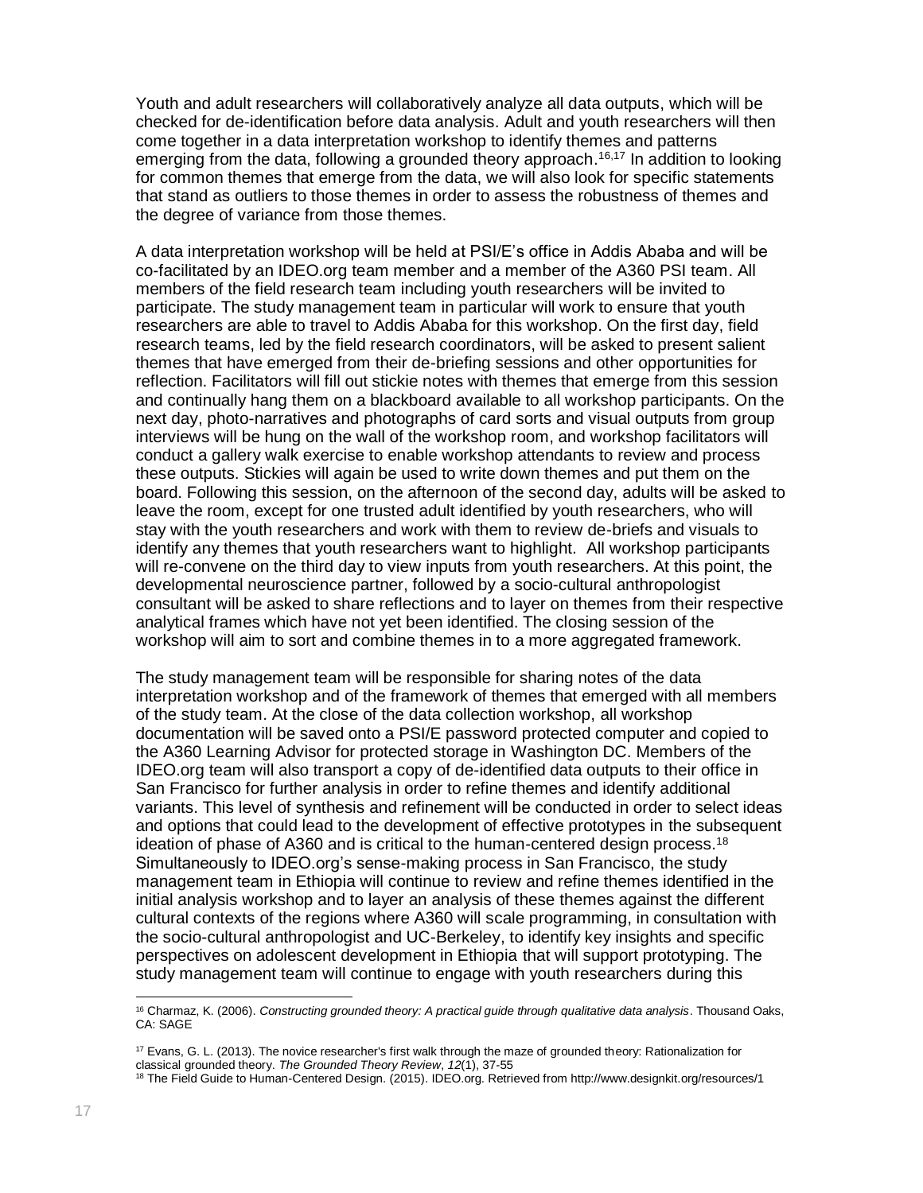Youth and adult researchers will collaboratively analyze all data outputs, which will be checked for de-identification before data analysis. Adult and youth researchers will then come together in a data interpretation workshop to identify themes and patterns emerging from the data, following a grounded theory approach.<sup>16,17</sup> In addition to looking for common themes that emerge from the data, we will also look for specific statements that stand as outliers to those themes in order to assess the robustness of themes and the degree of variance from those themes.

A data interpretation workshop will be held at PSI/E's office in Addis Ababa and will be co-facilitated by an IDEO.org team member and a member of the A360 PSI team. All members of the field research team including youth researchers will be invited to participate. The study management team in particular will work to ensure that youth researchers are able to travel to Addis Ababa for this workshop. On the first day, field research teams, led by the field research coordinators, will be asked to present salient themes that have emerged from their de-briefing sessions and other opportunities for reflection. Facilitators will fill out stickie notes with themes that emerge from this session and continually hang them on a blackboard available to all workshop participants. On the next day, photo-narratives and photographs of card sorts and visual outputs from group interviews will be hung on the wall of the workshop room, and workshop facilitators will conduct a gallery walk exercise to enable workshop attendants to review and process these outputs. Stickies will again be used to write down themes and put them on the board. Following this session, on the afternoon of the second day, adults will be asked to leave the room, except for one trusted adult identified by youth researchers, who will stay with the youth researchers and work with them to review de-briefs and visuals to identify any themes that youth researchers want to highlight. All workshop participants will re-convene on the third day to view inputs from youth researchers. At this point, the developmental neuroscience partner, followed by a socio-cultural anthropologist consultant will be asked to share reflections and to layer on themes from their respective analytical frames which have not yet been identified. The closing session of the workshop will aim to sort and combine themes in to a more aggregated framework.

The study management team will be responsible for sharing notes of the data interpretation workshop and of the framework of themes that emerged with all members of the study team. At the close of the data collection workshop, all workshop documentation will be saved onto a PSI/E password protected computer and copied to the A360 Learning Advisor for protected storage in Washington DC. Members of the IDEO.org team will also transport a copy of de-identified data outputs to their office in San Francisco for further analysis in order to refine themes and identify additional variants. This level of synthesis and refinement will be conducted in order to select ideas and options that could lead to the development of effective prototypes in the subsequent ideation of phase of A360 and is critical to the human-centered design process.<sup>18</sup> Simultaneously to IDEO.org's sense-making process in San Francisco, the study management team in Ethiopia will continue to review and refine themes identified in the initial analysis workshop and to layer an analysis of these themes against the different cultural contexts of the regions where A360 will scale programming, in consultation with the socio-cultural anthropologist and UC-Berkeley, to identify key insights and specific perspectives on adolescent development in Ethiopia that will support prototyping. The study management team will continue to engage with youth researchers during this

 $\overline{a}$ <sup>16</sup> Charmaz, K. (2006). *Constructing grounded theory: A practical guide through qualitative data analysis*. Thousand Oaks, CA: SAGE

<sup>17</sup> Evans, G. L. (2013). The novice researcher's first walk through the maze of grounded theory: Rationalization for classical grounded theory. *The Grounded Theory Review*, *12*(1), 37-55

<sup>18</sup> The Field Guide to Human-Centered Design. (2015). IDEO.org. Retrieved from http://www.designkit.org/resources/1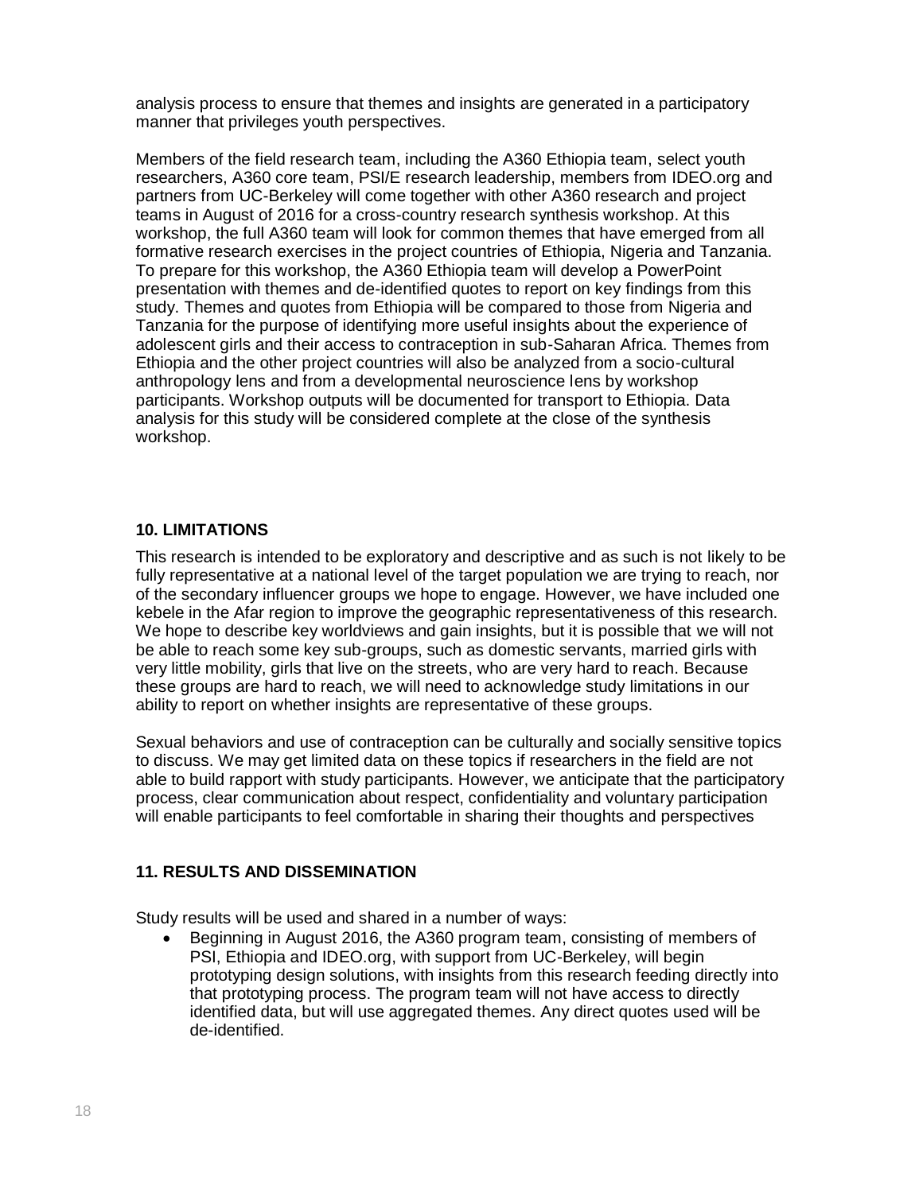analysis process to ensure that themes and insights are generated in a participatory manner that privileges youth perspectives.

Members of the field research team, including the A360 Ethiopia team, select youth researchers, A360 core team, PSI/E research leadership, members from IDEO.org and partners from UC-Berkeley will come together with other A360 research and project teams in August of 2016 for a cross-country research synthesis workshop. At this workshop, the full A360 team will look for common themes that have emerged from all formative research exercises in the project countries of Ethiopia, Nigeria and Tanzania. To prepare for this workshop, the A360 Ethiopia team will develop a PowerPoint presentation with themes and de-identified quotes to report on key findings from this study. Themes and quotes from Ethiopia will be compared to those from Nigeria and Tanzania for the purpose of identifying more useful insights about the experience of adolescent girls and their access to contraception in sub-Saharan Africa. Themes from Ethiopia and the other project countries will also be analyzed from a socio-cultural anthropology lens and from a developmental neuroscience lens by workshop participants. Workshop outputs will be documented for transport to Ethiopia. Data analysis for this study will be considered complete at the close of the synthesis workshop.

# **10. LIMITATIONS**

This research is intended to be exploratory and descriptive and as such is not likely to be fully representative at a national level of the target population we are trying to reach, nor of the secondary influencer groups we hope to engage. However, we have included one kebele in the Afar region to improve the geographic representativeness of this research. We hope to describe key worldviews and gain insights, but it is possible that we will not be able to reach some key sub-groups, such as domestic servants, married girls with very little mobility, girls that live on the streets, who are very hard to reach. Because these groups are hard to reach, we will need to acknowledge study limitations in our ability to report on whether insights are representative of these groups.

Sexual behaviors and use of contraception can be culturally and socially sensitive topics to discuss. We may get limited data on these topics if researchers in the field are not able to build rapport with study participants. However, we anticipate that the participatory process, clear communication about respect, confidentiality and voluntary participation will enable participants to feel comfortable in sharing their thoughts and perspectives

#### **11. RESULTS AND DISSEMINATION**

Study results will be used and shared in a number of ways:

• Beginning in August 2016, the A360 program team, consisting of members of PSI, Ethiopia and IDEO.org, with support from UC-Berkeley, will begin prototyping design solutions, with insights from this research feeding directly into that prototyping process. The program team will not have access to directly identified data, but will use aggregated themes. Any direct quotes used will be de-identified.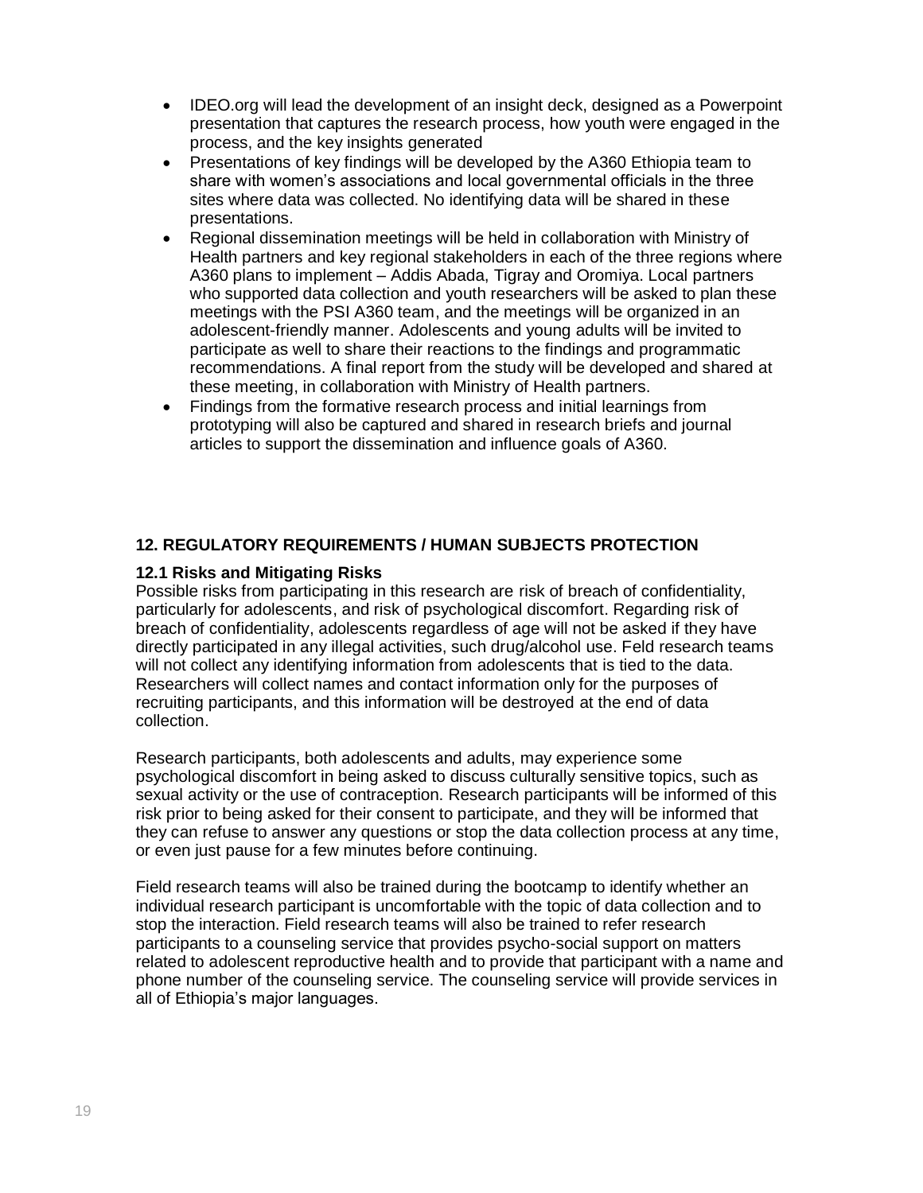- IDEO.org will lead the development of an insight deck, designed as a Powerpoint presentation that captures the research process, how youth were engaged in the process, and the key insights generated
- Presentations of key findings will be developed by the A360 Ethiopia team to share with women's associations and local governmental officials in the three sites where data was collected. No identifying data will be shared in these presentations.
- Regional dissemination meetings will be held in collaboration with Ministry of Health partners and key regional stakeholders in each of the three regions where A360 plans to implement – Addis Abada, Tigray and Oromiya. Local partners who supported data collection and youth researchers will be asked to plan these meetings with the PSI A360 team, and the meetings will be organized in an adolescent-friendly manner. Adolescents and young adults will be invited to participate as well to share their reactions to the findings and programmatic recommendations. A final report from the study will be developed and shared at these meeting, in collaboration with Ministry of Health partners.
- Findings from the formative research process and initial learnings from prototyping will also be captured and shared in research briefs and journal articles to support the dissemination and influence goals of A360.

# **12. REGULATORY REQUIREMENTS / HUMAN SUBJECTS PROTECTION**

# **12.1 Risks and Mitigating Risks**

Possible risks from participating in this research are risk of breach of confidentiality, particularly for adolescents, and risk of psychological discomfort. Regarding risk of breach of confidentiality, adolescents regardless of age will not be asked if they have directly participated in any illegal activities, such drug/alcohol use. Feld research teams will not collect any identifying information from adolescents that is tied to the data. Researchers will collect names and contact information only for the purposes of recruiting participants, and this information will be destroyed at the end of data collection.

Research participants, both adolescents and adults, may experience some psychological discomfort in being asked to discuss culturally sensitive topics, such as sexual activity or the use of contraception. Research participants will be informed of this risk prior to being asked for their consent to participate, and they will be informed that they can refuse to answer any questions or stop the data collection process at any time, or even just pause for a few minutes before continuing.

Field research teams will also be trained during the bootcamp to identify whether an individual research participant is uncomfortable with the topic of data collection and to stop the interaction. Field research teams will also be trained to refer research participants to a counseling service that provides psycho-social support on matters related to adolescent reproductive health and to provide that participant with a name and phone number of the counseling service. The counseling service will provide services in all of Ethiopia's major languages.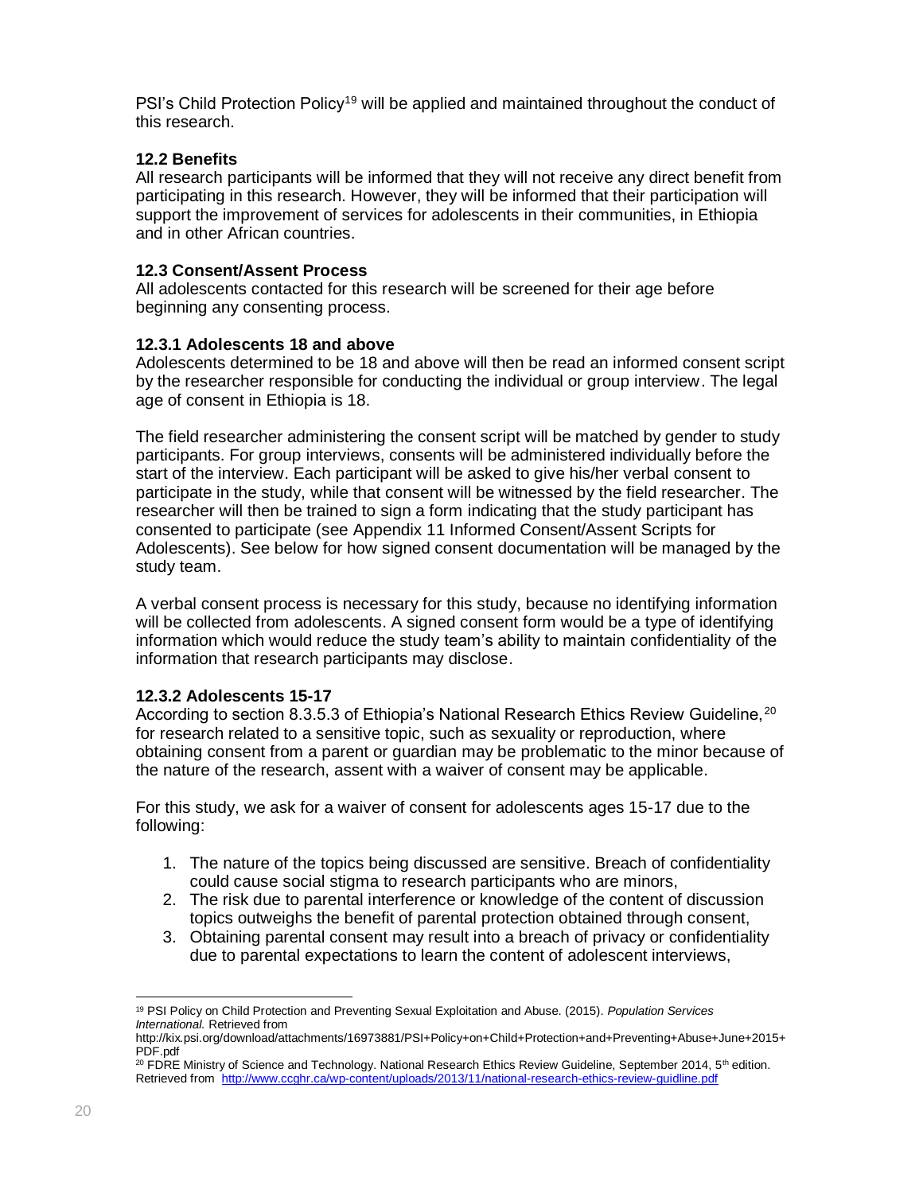PSI's Child Protection Policy<sup>19</sup> will be applied and maintained throughout the conduct of this research.

# **12.2 Benefits**

All research participants will be informed that they will not receive any direct benefit from participating in this research. However, they will be informed that their participation will support the improvement of services for adolescents in their communities, in Ethiopia and in other African countries.

# **12.3 Consent/Assent Process**

All adolescents contacted for this research will be screened for their age before beginning any consenting process.

#### **12.3.1 Adolescents 18 and above**

Adolescents determined to be 18 and above will then be read an informed consent script by the researcher responsible for conducting the individual or group interview. The legal age of consent in Ethiopia is 18.

The field researcher administering the consent script will be matched by gender to study participants. For group interviews, consents will be administered individually before the start of the interview. Each participant will be asked to give his/her verbal consent to participate in the study, while that consent will be witnessed by the field researcher. The researcher will then be trained to sign a form indicating that the study participant has consented to participate (see Appendix 11 Informed Consent/Assent Scripts for Adolescents). See below for how signed consent documentation will be managed by the study team.

A verbal consent process is necessary for this study, because no identifying information will be collected from adolescents. A signed consent form would be a type of identifying information which would reduce the study team's ability to maintain confidentiality of the information that research participants may disclose.

#### **12.3.2 Adolescents 15-17**

According to section 8.3.5.3 of Ethiopia's National Research Ethics Review Guideline, <sup>20</sup> for research related to a sensitive topic, such as sexuality or reproduction, where obtaining consent from a parent or guardian may be problematic to the minor because of the nature of the research, assent with a waiver of consent may be applicable.

For this study, we ask for a waiver of consent for adolescents ages 15-17 due to the following:

- 1. The nature of the topics being discussed are sensitive. Breach of confidentiality could cause social stigma to research participants who are minors,
- 2. The risk due to parental interference or knowledge of the content of discussion topics outweighs the benefit of parental protection obtained through consent,
- 3. Obtaining parental consent may result into a breach of privacy or confidentiality due to parental expectations to learn the content of adolescent interviews,

 $\overline{a}$ <sup>19</sup> PSI Policy on Child Protection and Preventing Sexual Exploitation and Abuse. (2015). *Population Services International.* Retrieved from

http://kix.psi.org/download/attachments/16973881/PSI+Policy+on+Child+Protection+and+Preventing+Abuse+June+2015+ PDF.pdf

<sup>&</sup>lt;sup>20</sup> FDRE Ministry of Science and Technology. National Research Ethics Review Guideline, September 2014, 5<sup>th</sup> edition. Retrieved from <http://www.ccghr.ca/wp-content/uploads/2013/11/national-research-ethics-review-guidline.pdf>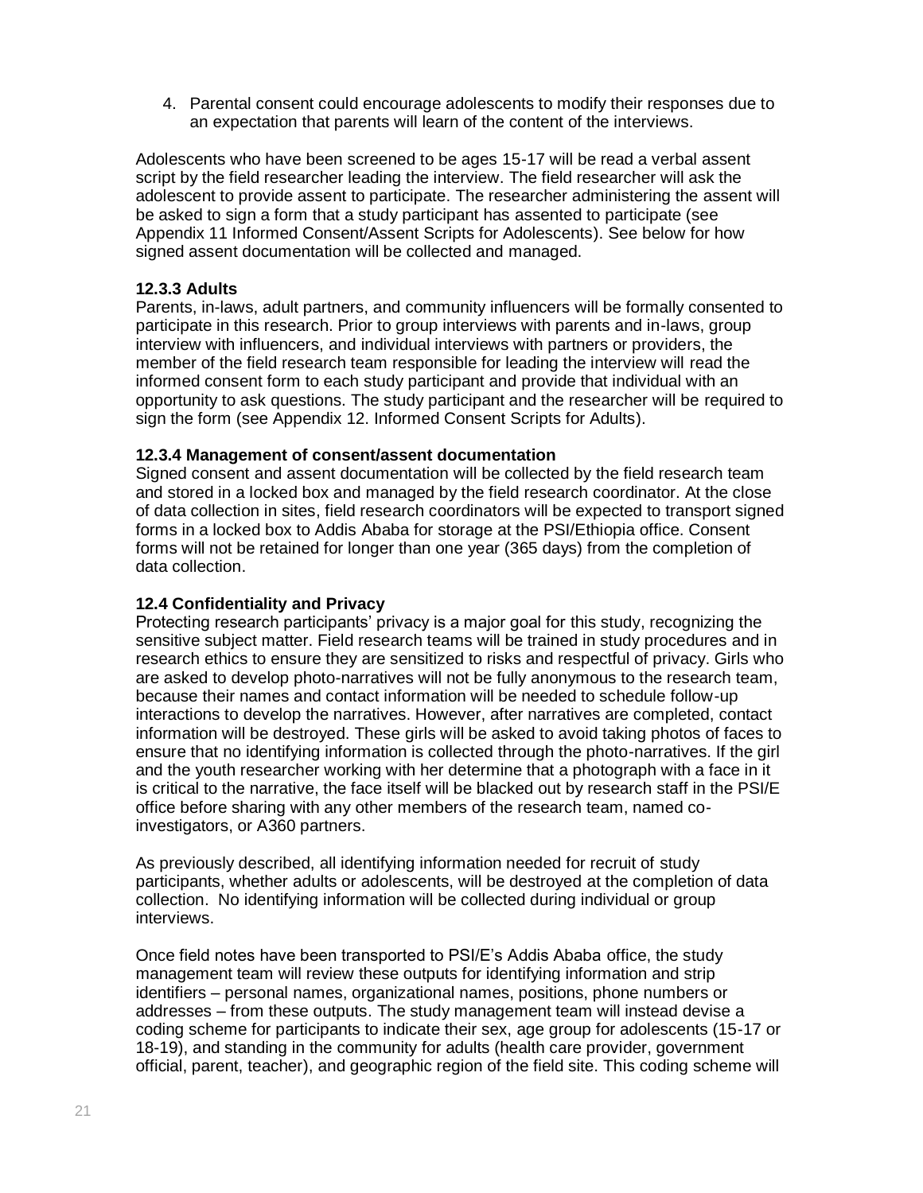4. Parental consent could encourage adolescents to modify their responses due to an expectation that parents will learn of the content of the interviews.

Adolescents who have been screened to be ages 15-17 will be read a verbal assent script by the field researcher leading the interview. The field researcher will ask the adolescent to provide assent to participate. The researcher administering the assent will be asked to sign a form that a study participant has assented to participate (see Appendix 11 Informed Consent/Assent Scripts for Adolescents). See below for how signed assent documentation will be collected and managed.

# **12.3.3 Adults**

Parents, in-laws, adult partners, and community influencers will be formally consented to participate in this research. Prior to group interviews with parents and in-laws, group interview with influencers, and individual interviews with partners or providers, the member of the field research team responsible for leading the interview will read the informed consent form to each study participant and provide that individual with an opportunity to ask questions. The study participant and the researcher will be required to sign the form (see Appendix 12. Informed Consent Scripts for Adults).

# **12.3.4 Management of consent/assent documentation**

Signed consent and assent documentation will be collected by the field research team and stored in a locked box and managed by the field research coordinator. At the close of data collection in sites, field research coordinators will be expected to transport signed forms in a locked box to Addis Ababa for storage at the PSI/Ethiopia office. Consent forms will not be retained for longer than one year (365 days) from the completion of data collection.

# **12.4 Confidentiality and Privacy**

Protecting research participants' privacy is a major goal for this study, recognizing the sensitive subject matter. Field research teams will be trained in study procedures and in research ethics to ensure they are sensitized to risks and respectful of privacy. Girls who are asked to develop photo-narratives will not be fully anonymous to the research team, because their names and contact information will be needed to schedule follow-up interactions to develop the narratives. However, after narratives are completed, contact information will be destroyed. These girls will be asked to avoid taking photos of faces to ensure that no identifying information is collected through the photo-narratives. If the girl and the youth researcher working with her determine that a photograph with a face in it is critical to the narrative, the face itself will be blacked out by research staff in the PSI/E office before sharing with any other members of the research team, named coinvestigators, or A360 partners.

As previously described, all identifying information needed for recruit of study participants, whether adults or adolescents, will be destroyed at the completion of data collection. No identifying information will be collected during individual or group interviews.

Once field notes have been transported to PSI/E's Addis Ababa office, the study management team will review these outputs for identifying information and strip identifiers – personal names, organizational names, positions, phone numbers or addresses – from these outputs. The study management team will instead devise a coding scheme for participants to indicate their sex, age group for adolescents (15-17 or 18-19), and standing in the community for adults (health care provider, government official, parent, teacher), and geographic region of the field site. This coding scheme will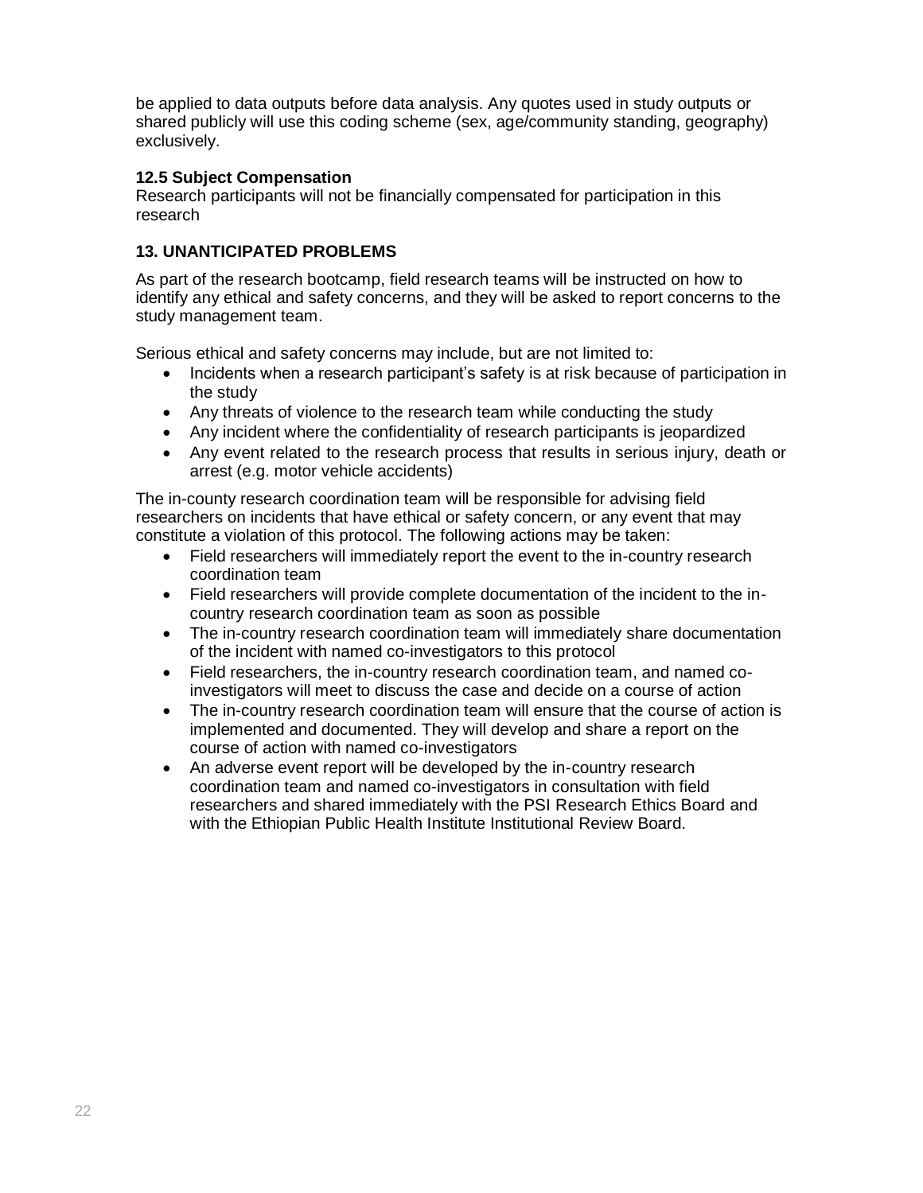be applied to data outputs before data analysis. Any quotes used in study outputs or shared publicly will use this coding scheme (sex, age/community standing, geography) exclusively.

# **12.5 Subject Compensation**

Research participants will not be financially compensated for participation in this research

# **13. UNANTICIPATED PROBLEMS**

As part of the research bootcamp, field research teams will be instructed on how to identify any ethical and safety concerns, and they will be asked to report concerns to the study management team.

Serious ethical and safety concerns may include, but are not limited to:

- Incidents when a research participant's safety is at risk because of participation in the study
- Any threats of violence to the research team while conducting the study
- Any incident where the confidentiality of research participants is jeopardized
- Any event related to the research process that results in serious injury, death or arrest (e.g. motor vehicle accidents)

The in-county research coordination team will be responsible for advising field researchers on incidents that have ethical or safety concern, or any event that may constitute a violation of this protocol. The following actions may be taken:

- Field researchers will immediately report the event to the in-country research coordination team
- Field researchers will provide complete documentation of the incident to the incountry research coordination team as soon as possible
- The in-country research coordination team will immediately share documentation of the incident with named co-investigators to this protocol
- Field researchers, the in-country research coordination team, and named coinvestigators will meet to discuss the case and decide on a course of action
- The in-country research coordination team will ensure that the course of action is implemented and documented. They will develop and share a report on the course of action with named co-investigators
- An adverse event report will be developed by the in-country research coordination team and named co-investigators in consultation with field researchers and shared immediately with the PSI Research Ethics Board and with the Ethiopian Public Health Institute Institutional Review Board.